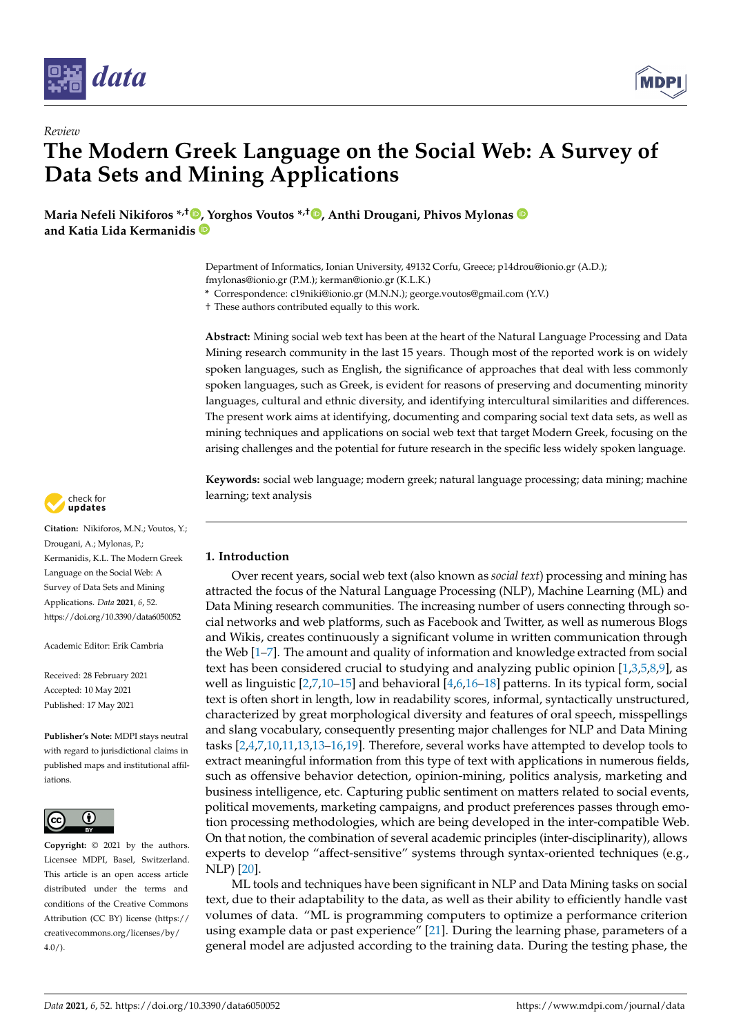



**Maria Nefeli Nikiforos \*,[†](https://orcid.org/0000-0002-0118-8821) [, Y](https://orcid.org/0000-0002-3270-5078)orghos Voutos \*,† [,](https://orcid.org/0000-0002-4039-7714) Anthi Drougani, Phivos Mylonas and Katia Lida Kermanidis**

> Department of Informatics, Ionian University, 49132 Corfu, Greece; p14drou@ionio.gr (A.D.); fmylonas@ionio.gr (P.M.); kerman@ionio.gr (K.L.K.)

**\*** Correspondence: c19niki@ionio.gr (M.N.N.); george.voutos@gmail.com (Y.V.)

† These authors contributed equally to this work.

**Abstract:** Mining social web text has been at the heart of the Natural Language Processing and Data Mining research community in the last 15 years. Though most of the reported work is on widely spoken languages, such as English, the significance of approaches that deal with less commonly spoken languages, such as Greek, is evident for reasons of preserving and documenting minority languages, cultural and ethnic diversity, and identifying intercultural similarities and differences. The present work aims at identifying, documenting and comparing social text data sets, as well as mining techniques and applications on social web text that target Modern Greek, focusing on the arising challenges and the potential for future research in the specific less widely spoken language.

**Keywords:** social web language; modern greek; natural language processing; data mining; machine learning; text analysis



**Citation:** Nikiforos, M.N.; Voutos, Y.; Drougani, A.; Mylonas, P.; Kermanidis, K.L. The Modern Greek Language on the Social Web: A Survey of Data Sets and Mining Applications. *Data* **2021**, *6*, 52. <https://doi.org/10.3390/data6050052>

Academic Editor: Erik Cambria

Received: 28 February 2021 Accepted: 10 May 2021 Published: 17 May 2021

**Publisher's Note:** MDPI stays neutral with regard to jurisdictional claims in published maps and institutional affiliations.



**Copyright:** © 2021 by the authors. Licensee MDPI, Basel, Switzerland. This article is an open access article distributed under the terms and conditions of the Creative Commons Attribution (CC BY) license (https:/[/](https://creativecommons.org/licenses/by/4.0/) [creativecommons.org/licenses/by/](https://creativecommons.org/licenses/by/4.0/)  $4.0/$ ).

## **1. Introduction**

Over recent years, social web text (also known as *social text*) processing and mining has attracted the focus of the Natural Language Processing (NLP), Machine Learning (ML) and Data Mining research communities. The increasing number of users connecting through social networks and web platforms, such as Facebook and Twitter, as well as numerous Blogs and Wikis, creates continuously a significant volume in written communication through the Web [\[1](#page-26-0)[–7\]](#page-26-1). The amount and quality of information and knowledge extracted from social text has been considered crucial to studying and analyzing public opinion [\[1](#page-26-0)[,3](#page-26-2)[,5](#page-26-3)[,8,](#page-26-4)[9\]](#page-26-5), as well as linguistic [\[2](#page-26-6)[,7](#page-26-1)[,10](#page-26-7)[–15\]](#page-26-8) and behavioral [\[4](#page-26-9)[,6](#page-26-10)[,16–](#page-26-11)[18\]](#page-26-12) patterns. In its typical form, social text is often short in length, low in readability scores, informal, syntactically unstructured, characterized by great morphological diversity and features of oral speech, misspellings and slang vocabulary, consequently presenting major challenges for NLP and Data Mining tasks [\[2,](#page-26-6)[4,](#page-26-9)[7,](#page-26-1)[10](#page-26-7)[,11](#page-26-13)[,13,13](#page-26-14)[–16](#page-26-11)[,19\]](#page-26-15). Therefore, several works have attempted to develop tools to extract meaningful information from this type of text with applications in numerous fields, such as offensive behavior detection, opinion-mining, politics analysis, marketing and business intelligence, etc. Capturing public sentiment on matters related to social events, political movements, marketing campaigns, and product preferences passes through emotion processing methodologies, which are being developed in the inter-compatible Web. On that notion, the combination of several academic principles (inter-disciplinarity), allows experts to develop "affect-sensitive" systems through syntax-oriented techniques (e.g., NLP) [\[20\]](#page-27-0).

ML tools and techniques have been significant in NLP and Data Mining tasks on social text, due to their adaptability to the data, as well as their ability to efficiently handle vast volumes of data. "ML is programming computers to optimize a performance criterion using example data or past experience" [\[21\]](#page-27-1). During the learning phase, parameters of a general model are adjusted according to the training data. During the testing phase, the

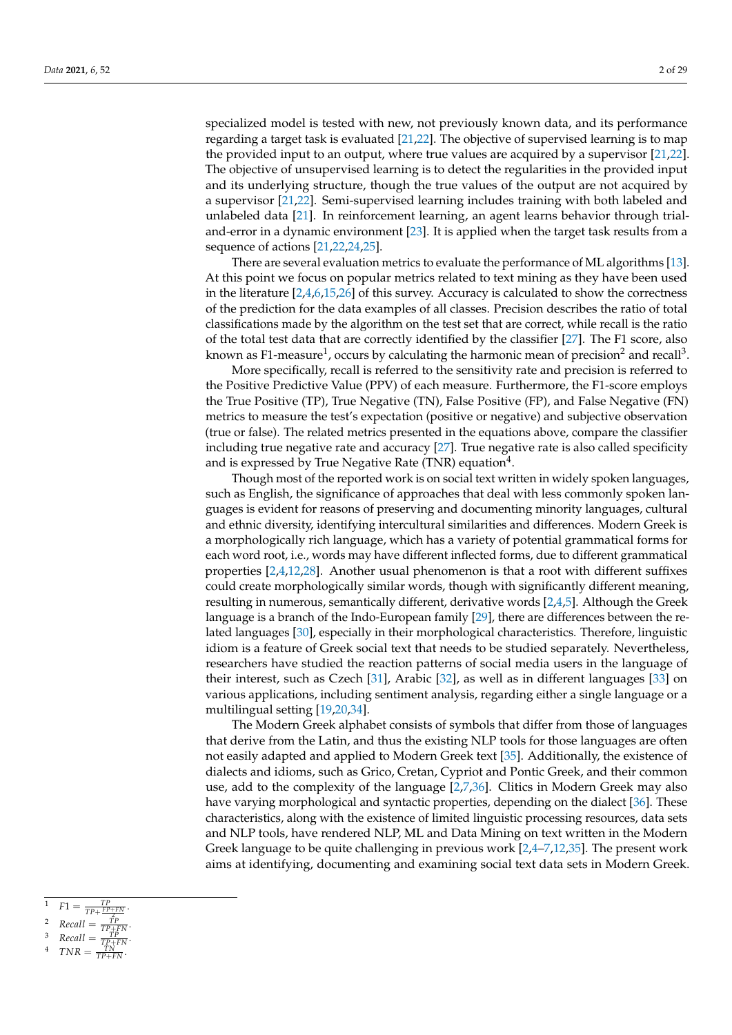specialized model is tested with new, not previously known data, and its performance regarding a target task is evaluated [\[21,](#page-27-1)[22\]](#page-27-2). The objective of supervised learning is to map the provided input to an output, where true values are acquired by a supervisor [\[21,](#page-27-1)[22\]](#page-27-2). The objective of unsupervised learning is to detect the regularities in the provided input and its underlying structure, though the true values of the output are not acquired by a supervisor [\[21](#page-27-1)[,22\]](#page-27-2). Semi-supervised learning includes training with both labeled and unlabeled data [\[21\]](#page-27-1). In reinforcement learning, an agent learns behavior through trialand-error in a dynamic environment [\[23\]](#page-27-3). It is applied when the target task results from a sequence of actions [\[21,](#page-27-1)[22,](#page-27-2)[24,](#page-27-4)[25\]](#page-27-5).

There are several evaluation metrics to evaluate the performance of ML algorithms [\[13\]](#page-26-14). At this point we focus on popular metrics related to text mining as they have been used in the literature [\[2](#page-26-6)[,4](#page-26-9)[,6](#page-26-10)[,15](#page-26-8)[,26\]](#page-27-6) of this survey. Accuracy is calculated to show the correctness of the prediction for the data examples of all classes. Precision describes the ratio of total classifications made by the algorithm on the test set that are correct, while recall is the ratio of the total test data that are correctly identified by the classifier [\[27\]](#page-27-7). The F1 score, also known as F1-measure $^1$ , occurs by calculating the harmonic mean of precision $^2$  and recall $^3$ .

More specifically, recall is referred to the sensitivity rate and precision is referred to the Positive Predictive Value (PPV) of each measure. Furthermore, the F1-score employs the True Positive (TP), True Negative (TN), False Positive (FP), and False Negative (FN) metrics to measure the test's expectation (positive or negative) and subjective observation (true or false). The related metrics presented in the equations above, compare the classifier including true negative rate and accuracy  $[27]$ . True negative rate is also called specificity and is expressed by True Negative Rate (TNR) equation $^4$ .

Though most of the reported work is on social text written in widely spoken languages, such as English, the significance of approaches that deal with less commonly spoken languages is evident for reasons of preserving and documenting minority languages, cultural and ethnic diversity, identifying intercultural similarities and differences. Modern Greek is a morphologically rich language, which has a variety of potential grammatical forms for each word root, i.e., words may have different inflected forms, due to different grammatical properties [\[2](#page-26-6)[,4](#page-26-9)[,12](#page-26-16)[,28\]](#page-27-8). Another usual phenomenon is that a root with different suffixes could create morphologically similar words, though with significantly different meaning, resulting in numerous, semantically different, derivative words [\[2,](#page-26-6)[4,](#page-26-9)[5\]](#page-26-3). Although the Greek language is a branch of the Indo-European family [\[29\]](#page-27-9), there are differences between the related languages [\[30\]](#page-27-10), especially in their morphological characteristics. Therefore, linguistic idiom is a feature of Greek social text that needs to be studied separately. Nevertheless, researchers have studied the reaction patterns of social media users in the language of their interest, such as Czech [\[31\]](#page-27-11), Arabic [\[32\]](#page-27-12), as well as in different languages [\[33\]](#page-27-13) on various applications, including sentiment analysis, regarding either a single language or a multilingual setting [\[19,](#page-26-15)[20,](#page-27-0)[34\]](#page-27-14).

The Modern Greek alphabet consists of symbols that differ from those of languages that derive from the Latin, and thus the existing NLP tools for those languages are often not easily adapted and applied to Modern Greek text [\[35\]](#page-27-15). Additionally, the existence of dialects and idioms, such as Grico, Cretan, Cypriot and Pontic Greek, and their common use, add to the complexity of the language [\[2](#page-26-6)[,7](#page-26-1)[,36\]](#page-27-16). Clitics in Modern Greek may also have varying morphological and syntactic properties, depending on the dialect [\[36\]](#page-27-16). These characteristics, along with the existence of limited linguistic processing resources, data sets and NLP tools, have rendered NLP, ML and Data Mining on text written in the Modern Greek language to be quite challenging in previous work [\[2,](#page-26-6)[4–](#page-26-9)[7,](#page-26-1)[12,](#page-26-16)[35\]](#page-27-15). The present work aims at identifying, documenting and examining social text data sets in Modern Greek.

- $F1 = \frac{TP}{TP + \frac{FP + FN}{2}}$
- 2 <sup>2</sup>  $Recall = \frac{TP}{TP + FN}$ .

.

- $B^3$  *Recall* =  $\frac{TP}{TP+FN}$ .
- $TNR = \frac{TN}{TP+FN}.$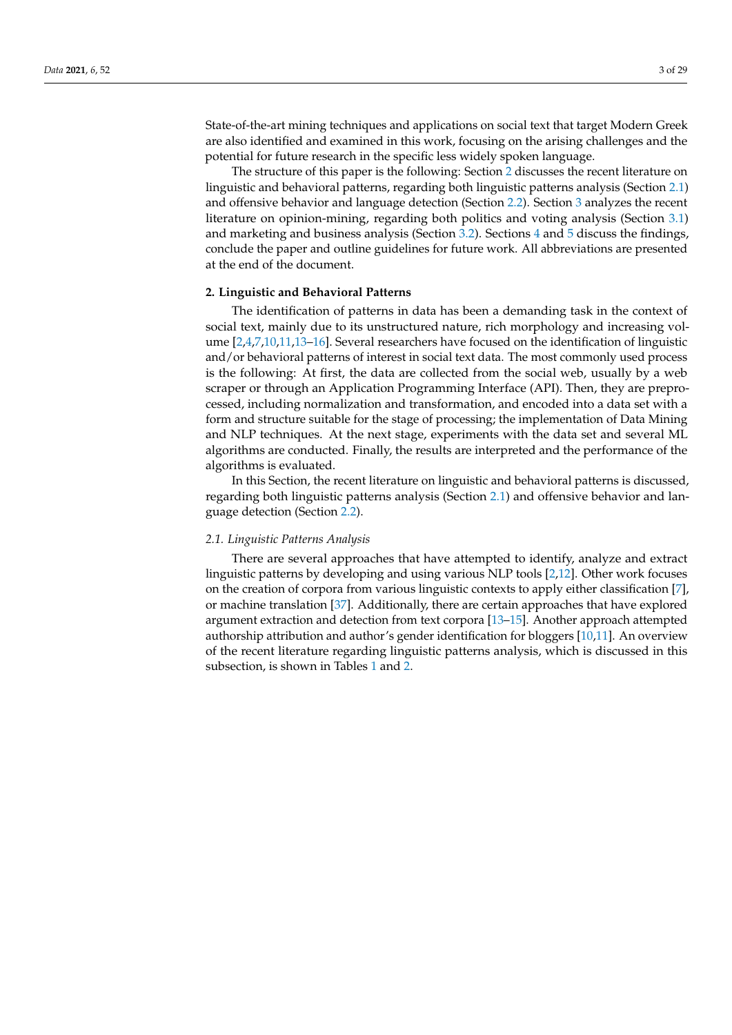State-of-the-art mining techniques and applications on social text that target Modern Greek are also identified and examined in this work, focusing on the arising challenges and the potential for future research in the specific less widely spoken language.

The structure of this paper is the following: Section [2](#page-2-0) discusses the recent literature on linguistic and behavioral patterns, regarding both linguistic patterns analysis (Section [2.1\)](#page-2-1) and offensive behavior and language detection (Section [2.2\)](#page-11-0). Section [3](#page-16-0) analyzes the recent literature on opinion-mining, regarding both politics and voting analysis (Section [3.1\)](#page-16-1) and marketing and business analysis (Section [3.2\)](#page-20-0). Sections [4](#page-22-0) and [5](#page-24-0) discuss the findings, conclude the paper and outline guidelines for future work. All abbreviations are presented at the end of the document.

#### <span id="page-2-0"></span>**2. Linguistic and Behavioral Patterns**

The identification of patterns in data has been a demanding task in the context of social text, mainly due to its unstructured nature, rich morphology and increasing volume [\[2](#page-26-6)[,4](#page-26-9)[,7](#page-26-1)[,10,](#page-26-7)[11,](#page-26-13)[13–](#page-26-14)[16\]](#page-26-11). Several researchers have focused on the identification of linguistic and/or behavioral patterns of interest in social text data. The most commonly used process is the following: At first, the data are collected from the social web, usually by a web scraper or through an Application Programming Interface (API). Then, they are preprocessed, including normalization and transformation, and encoded into a data set with a form and structure suitable for the stage of processing; the implementation of Data Mining and NLP techniques. At the next stage, experiments with the data set and several ML algorithms are conducted. Finally, the results are interpreted and the performance of the algorithms is evaluated.

In this Section, the recent literature on linguistic and behavioral patterns is discussed, regarding both linguistic patterns analysis (Section [2.1\)](#page-2-1) and offensive behavior and language detection (Section [2.2\)](#page-11-0).

#### <span id="page-2-1"></span>*2.1. Linguistic Patterns Analysis*

There are several approaches that have attempted to identify, analyze and extract linguistic patterns by developing and using various NLP tools [\[2](#page-26-6)[,12\]](#page-26-16). Other work focuses on the creation of corpora from various linguistic contexts to apply either classification [\[7\]](#page-26-1), or machine translation [\[37\]](#page-27-17). Additionally, there are certain approaches that have explored argument extraction and detection from text corpora [\[13–](#page-26-14)[15\]](#page-26-8). Another approach attempted authorship attribution and author's gender identification for bloggers [\[10](#page-26-7)[,11\]](#page-26-13). An overview of the recent literature regarding linguistic patterns analysis, which is discussed in this subsection, is shown in Tables [1](#page-3-0) and [2.](#page-5-0)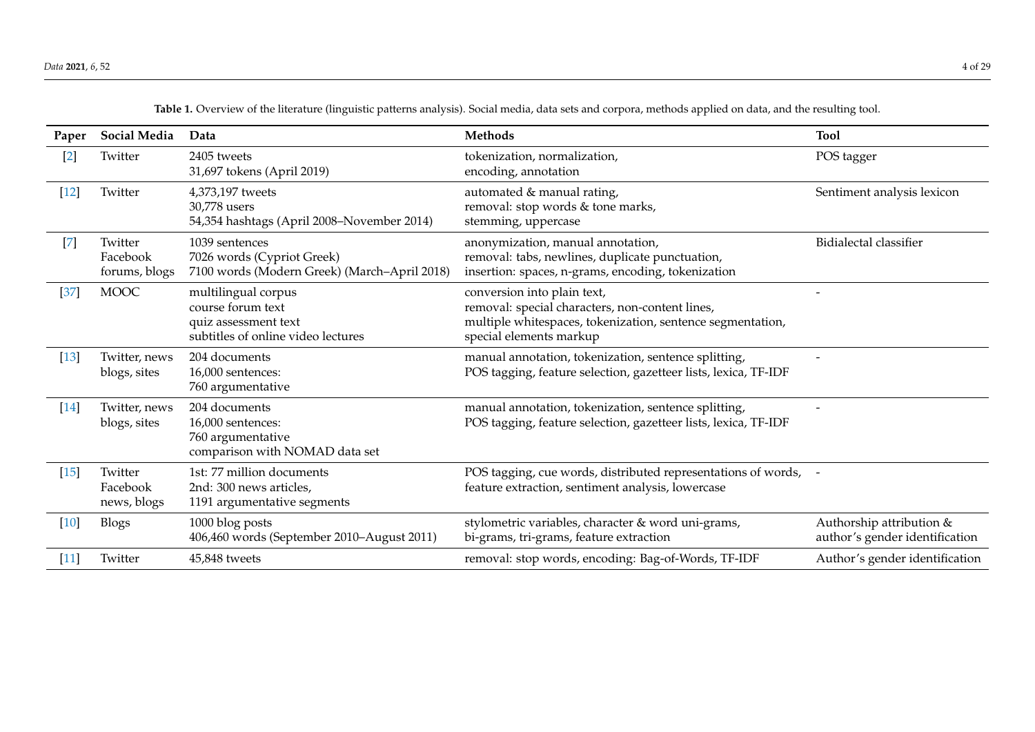<span id="page-3-0"></span>

| Paper  | Social Media                         | Data                                                                                                   | <b>Methods</b>                                                                                                                                                          | <b>Tool</b>                                                |
|--------|--------------------------------------|--------------------------------------------------------------------------------------------------------|-------------------------------------------------------------------------------------------------------------------------------------------------------------------------|------------------------------------------------------------|
| $[2]$  | Twitter                              | 2405 tweets<br>31,697 tokens (April 2019)                                                              | tokenization, normalization,<br>encoding, annotation                                                                                                                    | POS tagger                                                 |
| $[12]$ | Twitter                              | 4,373,197 tweets<br>30,778 users<br>54,354 hashtags (April 2008–November 2014)                         | automated & manual rating,<br>removal: stop words & tone marks,<br>stemming, uppercase                                                                                  | Sentiment analysis lexicon                                 |
| $[7]$  | Twitter<br>Facebook<br>forums, blogs | 1039 sentences<br>7026 words (Cypriot Greek)<br>7100 words (Modern Greek) (March-April 2018)           | anonymization, manual annotation,<br>removal: tabs, newlines, duplicate punctuation,<br>insertion: spaces, n-grams, encoding, tokenization                              | Bidialectal classifier                                     |
| $[37]$ | <b>MOOC</b>                          | multilingual corpus<br>course forum text<br>quiz assessment text<br>subtitles of online video lectures | conversion into plain text,<br>removal: special characters, non-content lines,<br>multiple whitespaces, tokenization, sentence segmentation,<br>special elements markup |                                                            |
| $[13]$ | Twitter, news<br>blogs, sites        | 204 documents<br>16,000 sentences:<br>760 argumentative                                                | manual annotation, tokenization, sentence splitting,<br>POS tagging, feature selection, gazetteer lists, lexica, TF-IDF                                                 |                                                            |
| $[14]$ | Twitter, news<br>blogs, sites        | 204 documents<br>16,000 sentences:<br>760 argumentative<br>comparison with NOMAD data set              | manual annotation, tokenization, sentence splitting,<br>POS tagging, feature selection, gazetteer lists, lexica, TF-IDF                                                 |                                                            |
| $[15]$ | Twitter<br>Facebook<br>news, blogs   | 1st: 77 million documents<br>2nd: 300 news articles,<br>1191 argumentative segments                    | POS tagging, cue words, distributed representations of words, -<br>feature extraction, sentiment analysis, lowercase                                                    |                                                            |
| $[10]$ | Blogs                                | 1000 blog posts<br>406,460 words (September 2010-August 2011)                                          | stylometric variables, character & word uni-grams,<br>bi-grams, tri-grams, feature extraction                                                                           | Authorship attribution &<br>author's gender identification |
| $[11]$ | Twitter                              | 45,848 tweets                                                                                          | removal: stop words, encoding: Bag-of-Words, TF-IDF                                                                                                                     | Author's gender identification                             |

**Table 1.** Overview of the literature (linguistic patterns analysis). Social media, data sets and corpora, methods applied on data, and the resulting tool.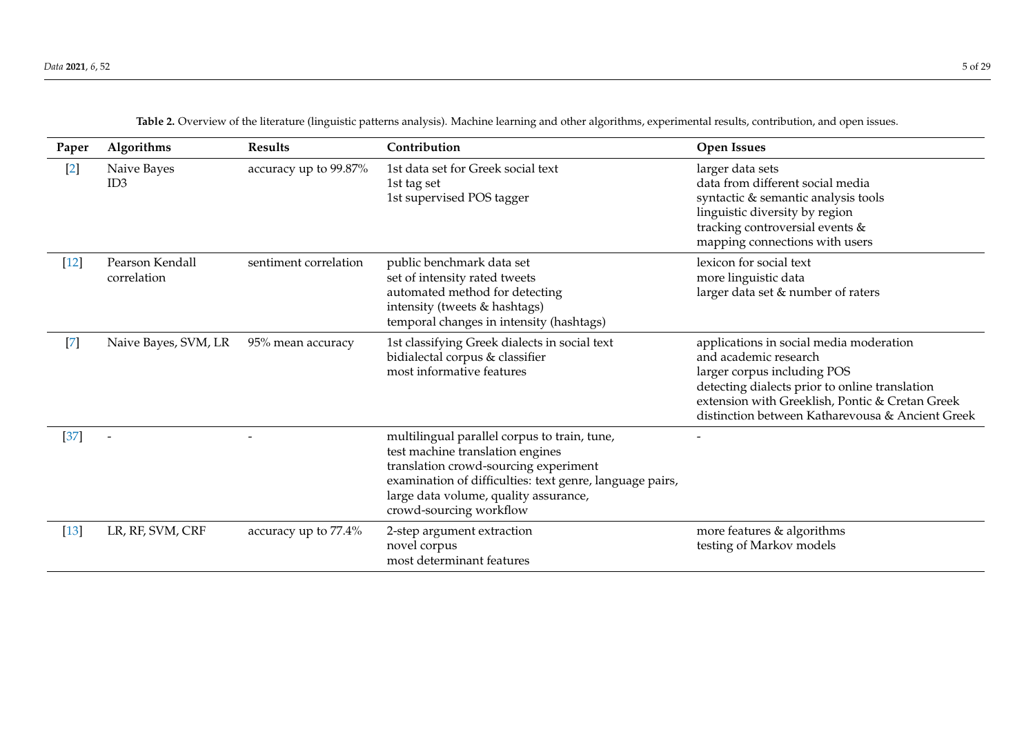| Paper  | Algorithms                     | <b>Results</b>        | Contribution                                                                                                                                                                                                                                              | <b>Open Issues</b>                                                                                                                                                                                                                                       |
|--------|--------------------------------|-----------------------|-----------------------------------------------------------------------------------------------------------------------------------------------------------------------------------------------------------------------------------------------------------|----------------------------------------------------------------------------------------------------------------------------------------------------------------------------------------------------------------------------------------------------------|
| $[2]$  | Naive Bayes<br>ID <sub>3</sub> | accuracy up to 99.87% | 1st data set for Greek social text<br>1st tag set<br>1st supervised POS tagger                                                                                                                                                                            | larger data sets<br>data from different social media<br>syntactic & semantic analysis tools<br>linguistic diversity by region<br>tracking controversial events &<br>mapping connections with users                                                       |
| $[12]$ | Pearson Kendall<br>correlation | sentiment correlation | public benchmark data set<br>set of intensity rated tweets<br>automated method for detecting<br>intensity (tweets & hashtags)<br>temporal changes in intensity (hashtags)                                                                                 | lexicon for social text<br>more linguistic data<br>larger data set & number of raters                                                                                                                                                                    |
| $[7]$  | Naive Bayes, SVM, LR           | 95% mean accuracy     | 1st classifying Greek dialects in social text<br>bidialectal corpus & classifier<br>most informative features                                                                                                                                             | applications in social media moderation<br>and academic research<br>larger corpus including POS<br>detecting dialects prior to online translation<br>extension with Greeklish, Pontic & Cretan Greek<br>distinction between Katharevousa & Ancient Greek |
| $[37]$ |                                |                       | multilingual parallel corpus to train, tune,<br>test machine translation engines<br>translation crowd-sourcing experiment<br>examination of difficulties: text genre, language pairs,<br>large data volume, quality assurance,<br>crowd-sourcing workflow |                                                                                                                                                                                                                                                          |
| $[13]$ | LR, RF, SVM, CRF               | accuracy up to 77.4%  | 2-step argument extraction<br>novel corpus<br>most determinant features                                                                                                                                                                                   | more features & algorithms<br>testing of Markov models                                                                                                                                                                                                   |

**Table 2.** Overview of the literature (linguistic patterns analysis). Machine learning and other algorithms, experimental results, contribution, and open issues.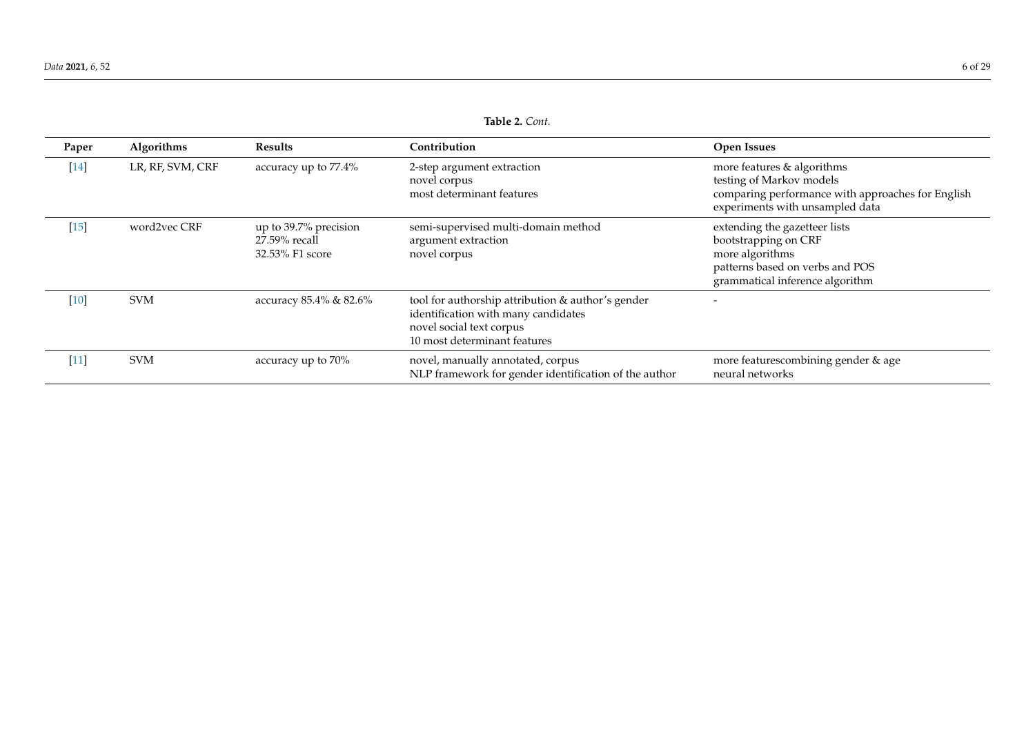<span id="page-5-0"></span>

| Paper  | Algorithms       | <b>Results</b>                                            | Contribution                                                                                                                                         | <b>Open Issues</b>                                                                                                                             |
|--------|------------------|-----------------------------------------------------------|------------------------------------------------------------------------------------------------------------------------------------------------------|------------------------------------------------------------------------------------------------------------------------------------------------|
| $[14]$ | LR, RF, SVM, CRF | accuracy up to 77.4%                                      | 2-step argument extraction<br>novel corpus<br>most determinant features                                                                              | more features & algorithms<br>testing of Markov models<br>comparing performance with approaches for English<br>experiments with unsampled data |
| [15]   | word2vec CRF     | up to 39.7% precision<br>27.59% recall<br>32.53% F1 score | semi-supervised multi-domain method<br>argument extraction<br>novel corpus                                                                           | extending the gazetteer lists<br>bootstrapping on CRF<br>more algorithms<br>patterns based on verbs and POS<br>grammatical inference algorithm |
| $[10]$ | <b>SVM</b>       | accuracy 85.4% & 82.6%                                    | tool for authorship attribution & author's gender<br>identification with many candidates<br>novel social text corpus<br>10 most determinant features |                                                                                                                                                |
| $[11]$ | <b>SVM</b>       | accuracy up to 70%                                        | novel, manually annotated, corpus<br>NLP framework for gender identification of the author                                                           | more featurescombining gender & age<br>neural networks                                                                                         |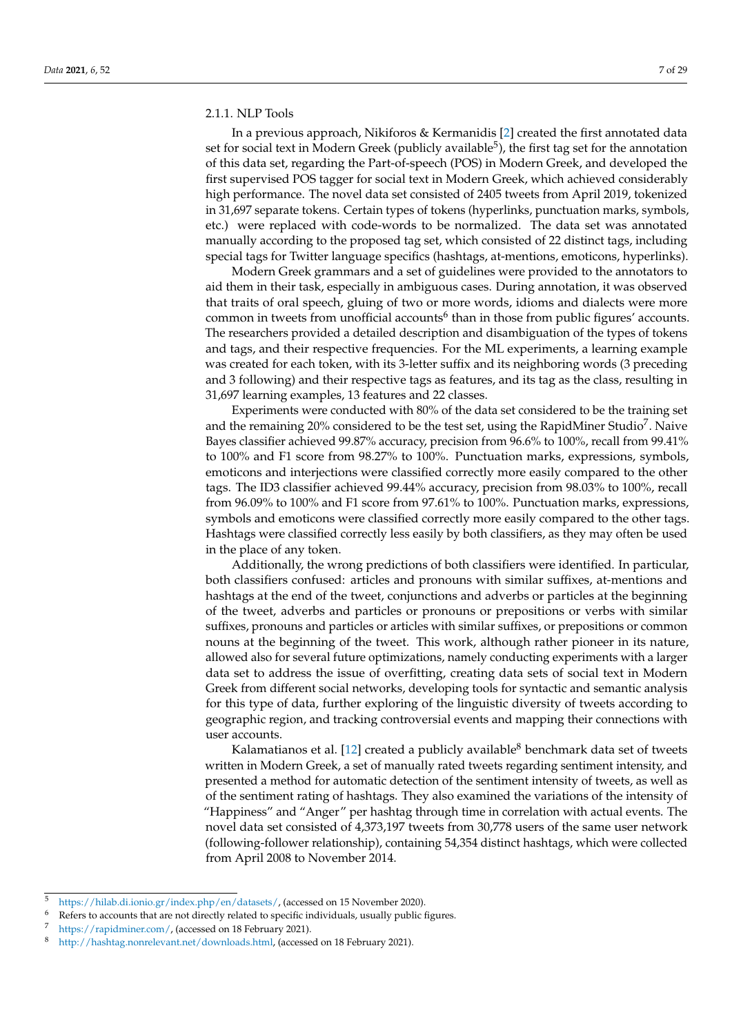#### 2.1.1. NLP Tools

In a previous approach, Nikiforos & Kermanidis [\[2\]](#page-26-6) created the first annotated data set for social text in Modern Greek (publicly available<sup>5</sup>), the first tag set for the annotation of this data set, regarding the Part-of-speech (POS) in Modern Greek, and developed the first supervised POS tagger for social text in Modern Greek, which achieved considerably high performance. The novel data set consisted of 2405 tweets from April 2019, tokenized in 31,697 separate tokens. Certain types of tokens (hyperlinks, punctuation marks, symbols, etc.) were replaced with code-words to be normalized. The data set was annotated manually according to the proposed tag set, which consisted of 22 distinct tags, including special tags for Twitter language specifics (hashtags, at-mentions, emoticons, hyperlinks).

Modern Greek grammars and a set of guidelines were provided to the annotators to aid them in their task, especially in ambiguous cases. During annotation, it was observed that traits of oral speech, gluing of two or more words, idioms and dialects were more common in tweets from unofficial accounts<sup>6</sup> than in those from public figures' accounts. The researchers provided a detailed description and disambiguation of the types of tokens and tags, and their respective frequencies. For the ML experiments, a learning example was created for each token, with its 3-letter suffix and its neighboring words (3 preceding and 3 following) and their respective tags as features, and its tag as the class, resulting in 31,697 learning examples, 13 features and 22 classes.

Experiments were conducted with 80% of the data set considered to be the training set and the remaining 20% considered to be the test set, using the RapidMiner Studio<sup>7</sup>. Naive Bayes classifier achieved 99.87% accuracy, precision from 96.6% to 100%, recall from 99.41% to 100% and F1 score from 98.27% to 100%. Punctuation marks, expressions, symbols, emoticons and interjections were classified correctly more easily compared to the other tags. The ID3 classifier achieved 99.44% accuracy, precision from 98.03% to 100%, recall from 96.09% to 100% and F1 score from 97.61% to 100%. Punctuation marks, expressions, symbols and emoticons were classified correctly more easily compared to the other tags. Hashtags were classified correctly less easily by both classifiers, as they may often be used in the place of any token.

Additionally, the wrong predictions of both classifiers were identified. In particular, both classifiers confused: articles and pronouns with similar suffixes, at-mentions and hashtags at the end of the tweet, conjunctions and adverbs or particles at the beginning of the tweet, adverbs and particles or pronouns or prepositions or verbs with similar suffixes, pronouns and particles or articles with similar suffixes, or prepositions or common nouns at the beginning of the tweet. This work, although rather pioneer in its nature, allowed also for several future optimizations, namely conducting experiments with a larger data set to address the issue of overfitting, creating data sets of social text in Modern Greek from different social networks, developing tools for syntactic and semantic analysis for this type of data, further exploring of the linguistic diversity of tweets according to geographic region, and tracking controversial events and mapping their connections with user accounts.

Kalamatianos et al. [\[12\]](#page-26-16) created a publicly available<sup>8</sup> benchmark data set of tweets written in Modern Greek, a set of manually rated tweets regarding sentiment intensity, and presented a method for automatic detection of the sentiment intensity of tweets, as well as of the sentiment rating of hashtags. They also examined the variations of the intensity of "Happiness" and "Anger" per hashtag through time in correlation with actual events. The novel data set consisted of 4,373,197 tweets from 30,778 users of the same user network (following-follower relationship), containing 54,354 distinct hashtags, which were collected from April 2008 to November 2014.

<sup>5</sup> [https://hilab.di.ionio.gr/index.php/en/datasets/,](https://hilab.di.ionio.gr/index.php/en/datasets/) (accessed on 15 November 2020).

Refers to accounts that are not directly related to specific individuals, usually public figures.

[https://rapidminer.com/,](https://rapidminer.com/) (accessed on 18 February 2021).

<sup>8</sup> [http://hashtag.nonrelevant.net/downloads.html,](http://hashtag.nonrelevant.net/downloads.html) (accessed on 18 February 2021).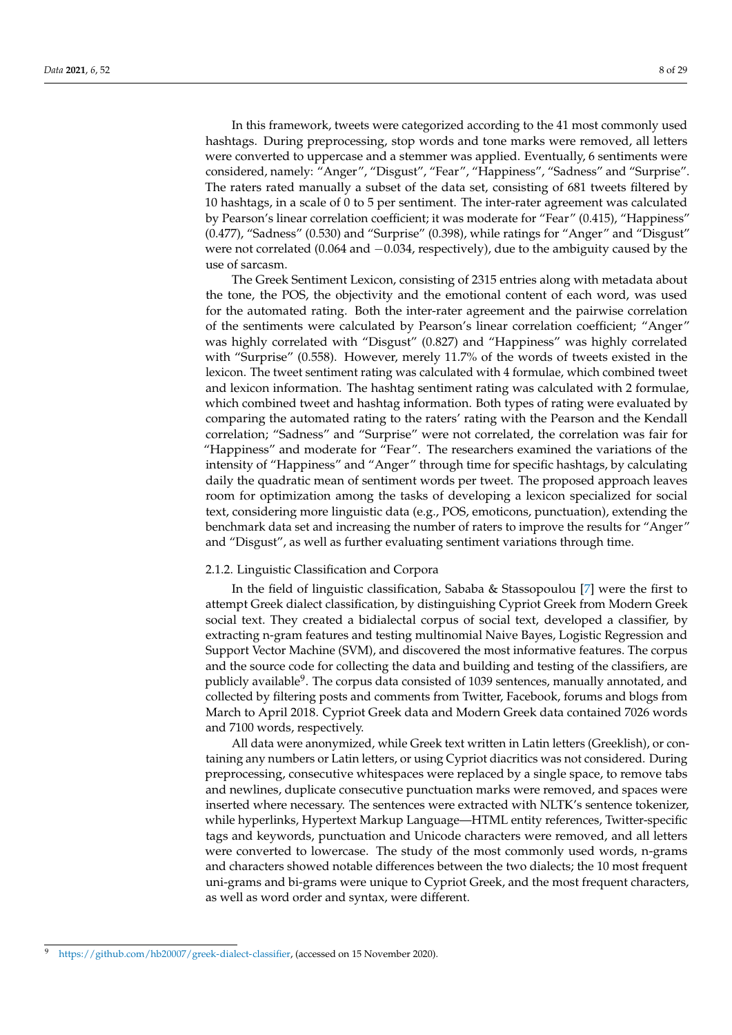In this framework, tweets were categorized according to the 41 most commonly used hashtags. During preprocessing, stop words and tone marks were removed, all letters were converted to uppercase and a stemmer was applied. Eventually, 6 sentiments were considered, namely: "Anger", "Disgust", "Fear", "Happiness", "Sadness" and "Surprise". The raters rated manually a subset of the data set, consisting of 681 tweets filtered by 10 hashtags, in a scale of 0 to 5 per sentiment. The inter-rater agreement was calculated by Pearson's linear correlation coefficient; it was moderate for "Fear" (0.415), "Happiness" (0.477), "Sadness" (0.530) and "Surprise" (0.398), while ratings for "Anger" and "Disgust" were not correlated (0.064 and −0.034, respectively), due to the ambiguity caused by the use of sarcasm.

The Greek Sentiment Lexicon, consisting of 2315 entries along with metadata about the tone, the POS, the objectivity and the emotional content of each word, was used for the automated rating. Both the inter-rater agreement and the pairwise correlation of the sentiments were calculated by Pearson's linear correlation coefficient; "Anger" was highly correlated with "Disgust" (0.827) and "Happiness" was highly correlated with "Surprise" (0.558). However, merely 11.7% of the words of tweets existed in the lexicon. The tweet sentiment rating was calculated with 4 formulae, which combined tweet and lexicon information. The hashtag sentiment rating was calculated with 2 formulae, which combined tweet and hashtag information. Both types of rating were evaluated by comparing the automated rating to the raters' rating with the Pearson and the Kendall correlation; "Sadness" and "Surprise" were not correlated, the correlation was fair for "Happiness" and moderate for "Fear". The researchers examined the variations of the intensity of "Happiness" and "Anger" through time for specific hashtags, by calculating daily the quadratic mean of sentiment words per tweet. The proposed approach leaves room for optimization among the tasks of developing a lexicon specialized for social text, considering more linguistic data (e.g., POS, emoticons, punctuation), extending the benchmark data set and increasing the number of raters to improve the results for "Anger" and "Disgust", as well as further evaluating sentiment variations through time.

## 2.1.2. Linguistic Classification and Corpora

In the field of linguistic classification, Sababa & Stassopoulou [\[7\]](#page-26-1) were the first to attempt Greek dialect classification, by distinguishing Cypriot Greek from Modern Greek social text. They created a bidialectal corpus of social text, developed a classifier, by extracting n-gram features and testing multinomial Naive Bayes, Logistic Regression and Support Vector Machine (SVM), and discovered the most informative features. The corpus and the source code for collecting the data and building and testing of the classifiers, are publicly available<sup>9</sup>. The corpus data consisted of 1039 sentences, manually annotated, and collected by filtering posts and comments from Twitter, Facebook, forums and blogs from March to April 2018. Cypriot Greek data and Modern Greek data contained 7026 words and 7100 words, respectively.

All data were anonymized, while Greek text written in Latin letters (Greeklish), or containing any numbers or Latin letters, or using Cypriot diacritics was not considered. During preprocessing, consecutive whitespaces were replaced by a single space, to remove tabs and newlines, duplicate consecutive punctuation marks were removed, and spaces were inserted where necessary. The sentences were extracted with NLTK's sentence tokenizer, while hyperlinks, Hypertext Markup Language—HTML entity references, Twitter-specific tags and keywords, punctuation and Unicode characters were removed, and all letters were converted to lowercase. The study of the most commonly used words, n-grams and characters showed notable differences between the two dialects; the 10 most frequent uni-grams and bi-grams were unique to Cypriot Greek, and the most frequent characters, as well as word order and syntax, were different.

[https://github.com/hb20007/greek-dialect-classifier,](https://github.com/hb20007/greek-dialect-classifier) (accessed on 15 November 2020).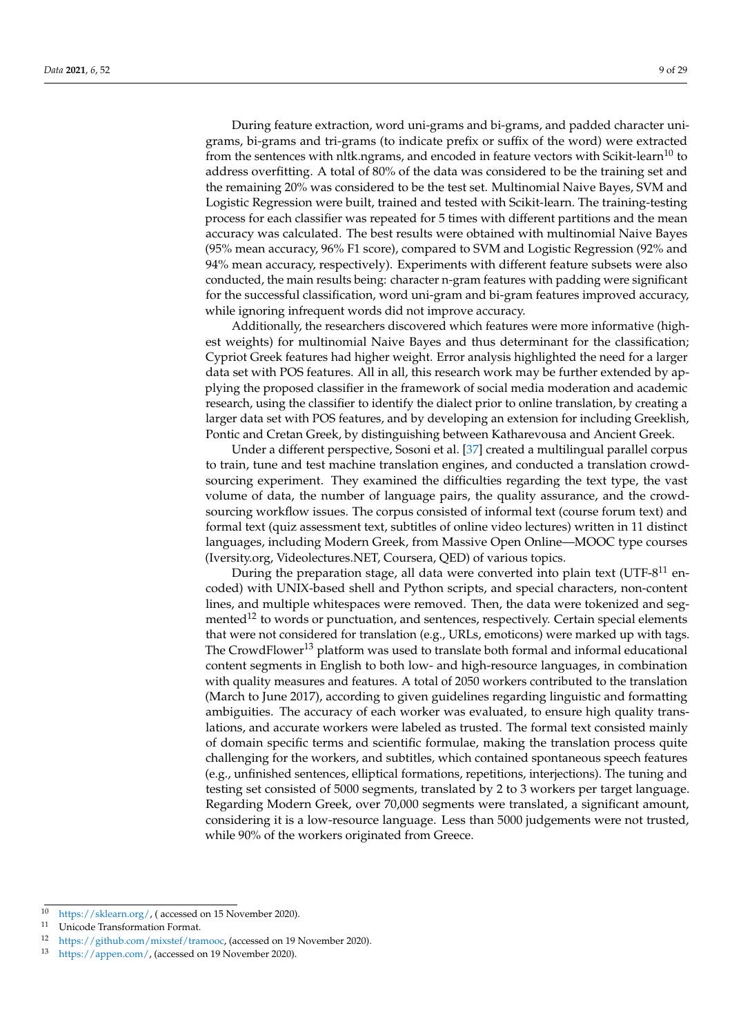During feature extraction, word uni-grams and bi-grams, and padded character unigrams, bi-grams and tri-grams (to indicate prefix or suffix of the word) were extracted from the sentences with nltk.ngrams, and encoded in feature vectors with Scikit-learn<sup>10</sup> to address overfitting. A total of 80% of the data was considered to be the training set and the remaining 20% was considered to be the test set. Multinomial Naive Bayes, SVM and Logistic Regression were built, trained and tested with Scikit-learn. The training-testing process for each classifier was repeated for 5 times with different partitions and the mean accuracy was calculated. The best results were obtained with multinomial Naive Bayes (95% mean accuracy, 96% F1 score), compared to SVM and Logistic Regression (92% and 94% mean accuracy, respectively). Experiments with different feature subsets were also conducted, the main results being: character n-gram features with padding were significant for the successful classification, word uni-gram and bi-gram features improved accuracy, while ignoring infrequent words did not improve accuracy.

Additionally, the researchers discovered which features were more informative (highest weights) for multinomial Naive Bayes and thus determinant for the classification; Cypriot Greek features had higher weight. Error analysis highlighted the need for a larger data set with POS features. All in all, this research work may be further extended by applying the proposed classifier in the framework of social media moderation and academic research, using the classifier to identify the dialect prior to online translation, by creating a larger data set with POS features, and by developing an extension for including Greeklish, Pontic and Cretan Greek, by distinguishing between Katharevousa and Ancient Greek.

Under a different perspective, Sosoni et al. [\[37\]](#page-27-17) created a multilingual parallel corpus to train, tune and test machine translation engines, and conducted a translation crowdsourcing experiment. They examined the difficulties regarding the text type, the vast volume of data, the number of language pairs, the quality assurance, and the crowdsourcing workflow issues. The corpus consisted of informal text (course forum text) and formal text (quiz assessment text, subtitles of online video lectures) written in 11 distinct languages, including Modern Greek, from Massive Open Online—MOOC type courses (Iversity.org, Videolectures.NET, Coursera, QED) of various topics.

During the preparation stage, all data were converted into plain text (UTF- $8^{11}$  encoded) with UNIX-based shell and Python scripts, and special characters, non-content lines, and multiple whitespaces were removed. Then, the data were tokenized and segmented<sup>12</sup> to words or punctuation, and sentences, respectively. Certain special elements that were not considered for translation (e.g., URLs, emoticons) were marked up with tags. The CrowdFlower<sup>13</sup> platform was used to translate both formal and informal educational content segments in English to both low- and high-resource languages, in combination with quality measures and features. A total of 2050 workers contributed to the translation (March to June 2017), according to given guidelines regarding linguistic and formatting ambiguities. The accuracy of each worker was evaluated, to ensure high quality translations, and accurate workers were labeled as trusted. The formal text consisted mainly of domain specific terms and scientific formulae, making the translation process quite challenging for the workers, and subtitles, which contained spontaneous speech features (e.g., unfinished sentences, elliptical formations, repetitions, interjections). The tuning and testing set consisted of 5000 segments, translated by 2 to 3 workers per target language. Regarding Modern Greek, over 70,000 segments were translated, a significant amount, considering it is a low-resource language. Less than 5000 judgements were not trusted, while 90% of the workers originated from Greece.

<sup>&</sup>lt;sup>10</sup> [https://sklearn.org/,](https://sklearn.org/) ( accessed on 15 November 2020).

Unicode Transformation Format.

<sup>12</sup> [https://github.com/mixstef/tramooc,](https://github.com/mixstef/tramooc) (accessed on 19 November 2020).

<sup>13</sup> [https://appen.com/,](https://appen.com/) (accessed on 19 November 2020).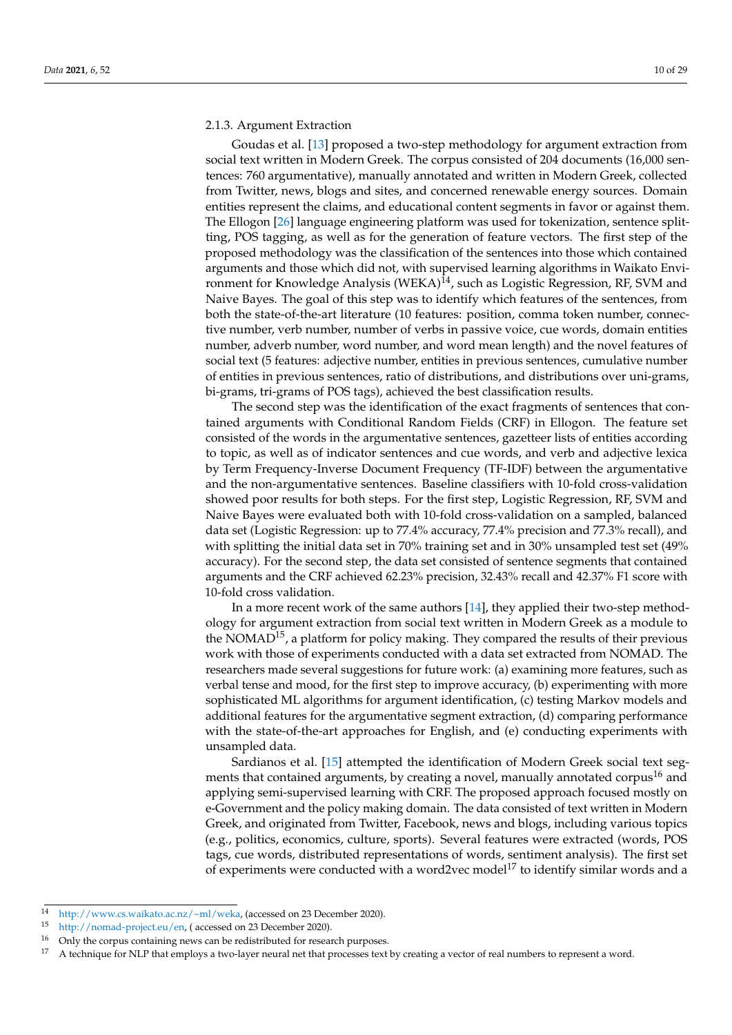#### 2.1.3. Argument Extraction

Goudas et al. [\[13\]](#page-26-14) proposed a two-step methodology for argument extraction from social text written in Modern Greek. The corpus consisted of 204 documents (16,000 sentences: 760 argumentative), manually annotated and written in Modern Greek, collected from Twitter, news, blogs and sites, and concerned renewable energy sources. Domain entities represent the claims, and educational content segments in favor or against them. The Ellogon [\[26\]](#page-27-6) language engineering platform was used for tokenization, sentence splitting, POS tagging, as well as for the generation of feature vectors. The first step of the proposed methodology was the classification of the sentences into those which contained arguments and those which did not, with supervised learning algorithms in Waikato Environment for Knowledge Analysis (WEKA)<sup>14</sup>, such as Logistic Regression, RF, SVM and Naive Bayes. The goal of this step was to identify which features of the sentences, from both the state-of-the-art literature (10 features: position, comma token number, connective number, verb number, number of verbs in passive voice, cue words, domain entities number, adverb number, word number, and word mean length) and the novel features of social text (5 features: adjective number, entities in previous sentences, cumulative number of entities in previous sentences, ratio of distributions, and distributions over uni-grams, bi-grams, tri-grams of POS tags), achieved the best classification results.

The second step was the identification of the exact fragments of sentences that contained arguments with Conditional Random Fields (CRF) in Ellogon. The feature set consisted of the words in the argumentative sentences, gazetteer lists of entities according to topic, as well as of indicator sentences and cue words, and verb and adjective lexica by Term Frequency-Inverse Document Frequency (TF-IDF) between the argumentative and the non-argumentative sentences. Baseline classifiers with 10-fold cross-validation showed poor results for both steps. For the first step, Logistic Regression, RF, SVM and Naive Bayes were evaluated both with 10-fold cross-validation on a sampled, balanced data set (Logistic Regression: up to 77.4% accuracy, 77.4% precision and 77.3% recall), and with splitting the initial data set in 70% training set and in 30% unsampled test set (49% accuracy). For the second step, the data set consisted of sentence segments that contained arguments and the CRF achieved 62.23% precision, 32.43% recall and 42.37% F1 score with 10-fold cross validation.

In a more recent work of the same authors [\[14\]](#page-26-25), they applied their two-step methodology for argument extraction from social text written in Modern Greek as a module to the NOMAD<sup>15</sup>, a platform for policy making. They compared the results of their previous work with those of experiments conducted with a data set extracted from NOMAD. The researchers made several suggestions for future work: (a) examining more features, such as verbal tense and mood, for the first step to improve accuracy, (b) experimenting with more sophisticated ML algorithms for argument identification, (c) testing Markov models and additional features for the argumentative segment extraction, (d) comparing performance with the state-of-the-art approaches for English, and (e) conducting experiments with unsampled data.

Sardianos et al. [\[15\]](#page-26-8) attempted the identification of Modern Greek social text segments that contained arguments, by creating a novel, manually annotated corpus<sup>16</sup> and applying semi-supervised learning with CRF. The proposed approach focused mostly on e-Government and the policy making domain. The data consisted of text written in Modern Greek, and originated from Twitter, Facebook, news and blogs, including various topics (e.g., politics, economics, culture, sports). Several features were extracted (words, POS tags, cue words, distributed representations of words, sentiment analysis). The first set of experiments were conducted with a word2vec model<sup>17</sup> to identify similar words and a

<sup>&</sup>lt;sup>14</sup> [http://www.cs.waikato.ac.nz/~ml/weka,](http://www.cs.waikato.ac.nz/~ml/weka) (accessed on 23 December 2020).

[http://nomad-project.eu/en,](http://nomad-project.eu/en) ( accessed on 23 December 2020).

<sup>&</sup>lt;sup>16</sup> Only the corpus containing news can be redistributed for research purposes.<br><sup>17</sup> A toobnique for NU P that employe a two-layer poural net that processes to the

<sup>17</sup> A technique for NLP that employs a two-layer neural net that processes text by creating a vector of real numbers to represent a word.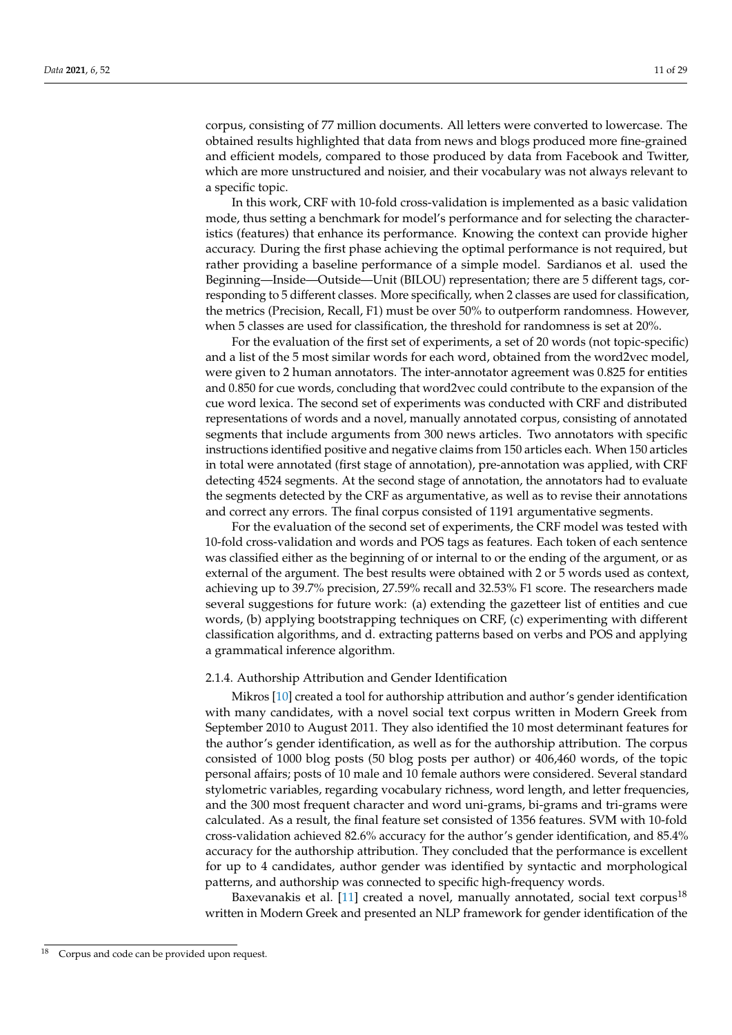corpus, consisting of 77 million documents. All letters were converted to lowercase. The obtained results highlighted that data from news and blogs produced more fine-grained and efficient models, compared to those produced by data from Facebook and Twitter, which are more unstructured and noisier, and their vocabulary was not always relevant to a specific topic.

In this work, CRF with 10-fold cross-validation is implemented as a basic validation mode, thus setting a benchmark for model's performance and for selecting the characteristics (features) that enhance its performance. Knowing the context can provide higher accuracy. During the first phase achieving the optimal performance is not required, but rather providing a baseline performance of a simple model. Sardianos et al. used the Beginning—Inside—Outside—Unit (BILOU) representation; there are 5 different tags, corresponding to 5 different classes. More specifically, when 2 classes are used for classification, the metrics (Precision, Recall, F1) must be over 50% to outperform randomness. However, when 5 classes are used for classification, the threshold for randomness is set at 20%.

For the evaluation of the first set of experiments, a set of 20 words (not topic-specific) and a list of the 5 most similar words for each word, obtained from the word2vec model, were given to 2 human annotators. The inter-annotator agreement was 0.825 for entities and 0.850 for cue words, concluding that word2vec could contribute to the expansion of the cue word lexica. The second set of experiments was conducted with CRF and distributed representations of words and a novel, manually annotated corpus, consisting of annotated segments that include arguments from 300 news articles. Two annotators with specific instructions identified positive and negative claims from 150 articles each. When 150 articles in total were annotated (first stage of annotation), pre-annotation was applied, with CRF detecting 4524 segments. At the second stage of annotation, the annotators had to evaluate the segments detected by the CRF as argumentative, as well as to revise their annotations and correct any errors. The final corpus consisted of 1191 argumentative segments.

For the evaluation of the second set of experiments, the CRF model was tested with 10-fold cross-validation and words and POS tags as features. Each token of each sentence was classified either as the beginning of or internal to or the ending of the argument, or as external of the argument. The best results were obtained with 2 or 5 words used as context, achieving up to 39.7% precision, 27.59% recall and 32.53% F1 score. The researchers made several suggestions for future work: (a) extending the gazetteer list of entities and cue words, (b) applying bootstrapping techniques on CRF, (c) experimenting with different classification algorithms, and d. extracting patterns based on verbs and POS and applying a grammatical inference algorithm.

## 2.1.4. Authorship Attribution and Gender Identification

Mikros [\[10\]](#page-26-7) created a tool for authorship attribution and author's gender identification with many candidates, with a novel social text corpus written in Modern Greek from September 2010 to August 2011. They also identified the 10 most determinant features for the author's gender identification, as well as for the authorship attribution. The corpus consisted of 1000 blog posts (50 blog posts per author) or 406,460 words, of the topic personal affairs; posts of 10 male and 10 female authors were considered. Several standard stylometric variables, regarding vocabulary richness, word length, and letter frequencies, and the 300 most frequent character and word uni-grams, bi-grams and tri-grams were calculated. As a result, the final feature set consisted of 1356 features. SVM with 10-fold cross-validation achieved 82.6% accuracy for the author's gender identification, and 85.4% accuracy for the authorship attribution. They concluded that the performance is excellent for up to 4 candidates, author gender was identified by syntactic and morphological patterns, and authorship was connected to specific high-frequency words.

Baxevanakis et al. [\[11\]](#page-26-13) created a novel, manually annotated, social text corpus<sup>18</sup> written in Modern Greek and presented an NLP framework for gender identification of the

Corpus and code can be provided upon request.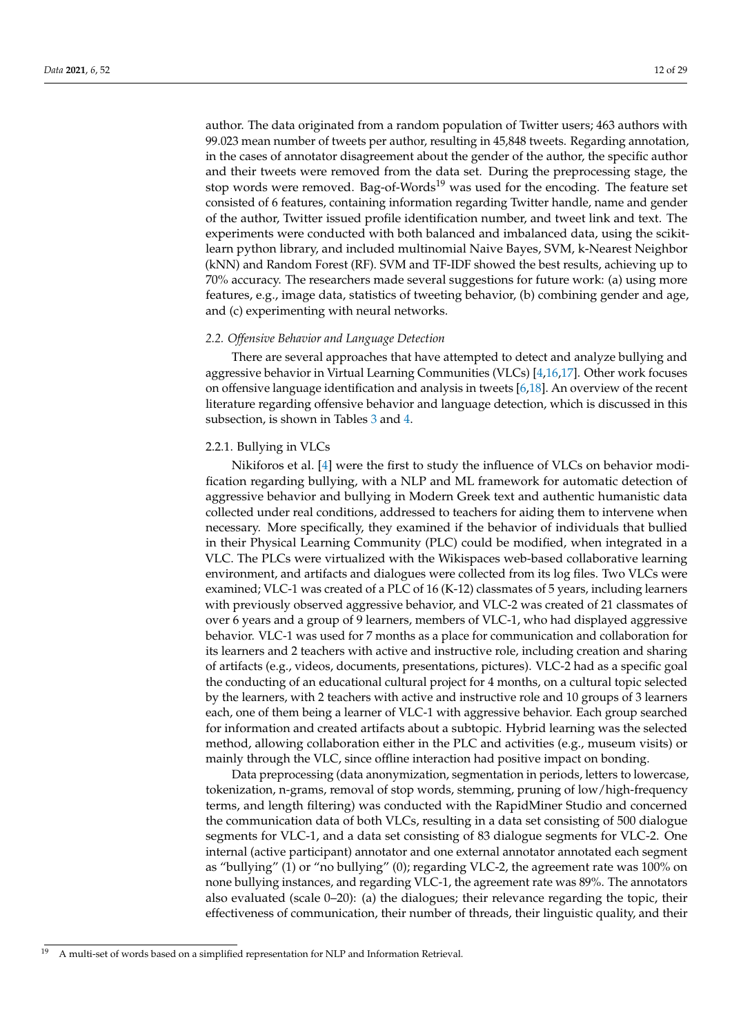author. The data originated from a random population of Twitter users; 463 authors with 99.023 mean number of tweets per author, resulting in 45,848 tweets. Regarding annotation, in the cases of annotator disagreement about the gender of the author, the specific author and their tweets were removed from the data set. During the preprocessing stage, the stop words were removed. Bag-of-Words<sup>19</sup> was used for the encoding. The feature set consisted of 6 features, containing information regarding Twitter handle, name and gender of the author, Twitter issued profile identification number, and tweet link and text. The experiments were conducted with both balanced and imbalanced data, using the scikitlearn python library, and included multinomial Naive Bayes, SVM, k-Nearest Neighbor (kNN) and Random Forest (RF). SVM and TF-IDF showed the best results, achieving up to 70% accuracy. The researchers made several suggestions for future work: (a) using more features, e.g., image data, statistics of tweeting behavior, (b) combining gender and age, and (c) experimenting with neural networks.

#### <span id="page-11-0"></span>*2.2. Offensive Behavior and Language Detection*

There are several approaches that have attempted to detect and analyze bullying and aggressive behavior in Virtual Learning Communities (VLCs) [\[4,](#page-26-9)[16,](#page-26-11)[17\]](#page-26-26). Other work focuses on offensive language identification and analysis in tweets [\[6,](#page-26-10)[18\]](#page-26-12). An overview of the recent literature regarding offensive behavior and language detection, which is discussed in this subsection, is shown in Tables [3](#page-14-0) and [4.](#page-15-0)

#### 2.2.1. Bullying in VLCs

Nikiforos et al. [\[4\]](#page-26-9) were the first to study the influence of VLCs on behavior modification regarding bullying, with a NLP and ML framework for automatic detection of aggressive behavior and bullying in Modern Greek text and authentic humanistic data collected under real conditions, addressed to teachers for aiding them to intervene when necessary. More specifically, they examined if the behavior of individuals that bullied in their Physical Learning Community (PLC) could be modified, when integrated in a VLC. The PLCs were virtualized with the Wikispaces web-based collaborative learning environment, and artifacts and dialogues were collected from its log files. Two VLCs were examined; VLC-1 was created of a PLC of 16 (K-12) classmates of 5 years, including learners with previously observed aggressive behavior, and VLC-2 was created of 21 classmates of over 6 years and a group of 9 learners, members of VLC-1, who had displayed aggressive behavior. VLC-1 was used for 7 months as a place for communication and collaboration for its learners and 2 teachers with active and instructive role, including creation and sharing of artifacts (e.g., videos, documents, presentations, pictures). VLC-2 had as a specific goal the conducting of an educational cultural project for 4 months, on a cultural topic selected by the learners, with 2 teachers with active and instructive role and 10 groups of 3 learners each, one of them being a learner of VLC-1 with aggressive behavior. Each group searched for information and created artifacts about a subtopic. Hybrid learning was the selected method, allowing collaboration either in the PLC and activities (e.g., museum visits) or mainly through the VLC, since offline interaction had positive impact on bonding.

Data preprocessing (data anonymization, segmentation in periods, letters to lowercase, tokenization, n-grams, removal of stop words, stemming, pruning of low/high-frequency terms, and length filtering) was conducted with the RapidMiner Studio and concerned the communication data of both VLCs, resulting in a data set consisting of 500 dialogue segments for VLC-1, and a data set consisting of 83 dialogue segments for VLC-2. One internal (active participant) annotator and one external annotator annotated each segment as "bullying" (1) or "no bullying" (0); regarding VLC-2, the agreement rate was 100% on none bullying instances, and regarding VLC-1, the agreement rate was 89%. The annotators also evaluated (scale 0–20): (a) the dialogues; their relevance regarding the topic, their effectiveness of communication, their number of threads, their linguistic quality, and their

<sup>19</sup> A multi-set of words based on a simplified representation for NLP and Information Retrieval.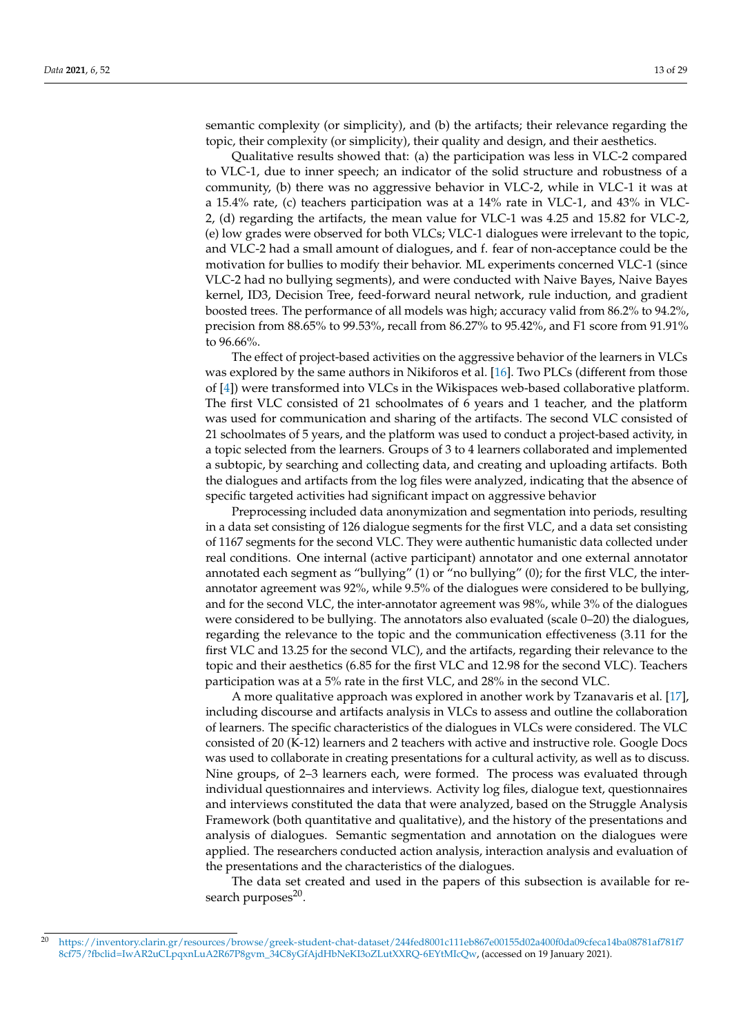semantic complexity (or simplicity), and (b) the artifacts; their relevance regarding the topic, their complexity (or simplicity), their quality and design, and their aesthetics.

Qualitative results showed that: (a) the participation was less in VLC-2 compared to VLC-1, due to inner speech; an indicator of the solid structure and robustness of a community, (b) there was no aggressive behavior in VLC-2, while in VLC-1 it was at a 15.4% rate, (c) teachers participation was at a 14% rate in VLC-1, and 43% in VLC-2, (d) regarding the artifacts, the mean value for VLC-1 was 4.25 and 15.82 for VLC-2, (e) low grades were observed for both VLCs; VLC-1 dialogues were irrelevant to the topic, and VLC-2 had a small amount of dialogues, and f. fear of non-acceptance could be the motivation for bullies to modify their behavior. ML experiments concerned VLC-1 (since VLC-2 had no bullying segments), and were conducted with Naive Bayes, Naive Bayes kernel, ID3, Decision Tree, feed-forward neural network, rule induction, and gradient boosted trees. The performance of all models was high; accuracy valid from 86.2% to 94.2%, precision from 88.65% to 99.53%, recall from 86.27% to 95.42%, and F1 score from 91.91% to 96.66%.

The effect of project-based activities on the aggressive behavior of the learners in VLCs was explored by the same authors in Nikiforos et al. [\[16\]](#page-26-11). Two PLCs (different from those of [\[4\]](#page-26-9)) were transformed into VLCs in the Wikispaces web-based collaborative platform. The first VLC consisted of 21 schoolmates of 6 years and 1 teacher, and the platform was used for communication and sharing of the artifacts. The second VLC consisted of 21 schoolmates of 5 years, and the platform was used to conduct a project-based activity, in a topic selected from the learners. Groups of 3 to 4 learners collaborated and implemented a subtopic, by searching and collecting data, and creating and uploading artifacts. Both the dialogues and artifacts from the log files were analyzed, indicating that the absence of specific targeted activities had significant impact on aggressive behavior

Preprocessing included data anonymization and segmentation into periods, resulting in a data set consisting of 126 dialogue segments for the first VLC, and a data set consisting of 1167 segments for the second VLC. They were authentic humanistic data collected under real conditions. One internal (active participant) annotator and one external annotator annotated each segment as "bullying" (1) or "no bullying" (0); for the first VLC, the interannotator agreement was 92%, while 9.5% of the dialogues were considered to be bullying, and for the second VLC, the inter-annotator agreement was 98%, while 3% of the dialogues were considered to be bullying. The annotators also evaluated (scale 0–20) the dialogues, regarding the relevance to the topic and the communication effectiveness (3.11 for the first VLC and 13.25 for the second VLC), and the artifacts, regarding their relevance to the topic and their aesthetics (6.85 for the first VLC and 12.98 for the second VLC). Teachers participation was at a 5% rate in the first VLC, and 28% in the second VLC.

A more qualitative approach was explored in another work by Tzanavaris et al. [\[17\]](#page-26-26), including discourse and artifacts analysis in VLCs to assess and outline the collaboration of learners. The specific characteristics of the dialogues in VLCs were considered. The VLC consisted of 20 (K-12) learners and 2 teachers with active and instructive role. Google Docs was used to collaborate in creating presentations for a cultural activity, as well as to discuss. Nine groups, of 2–3 learners each, were formed. The process was evaluated through individual questionnaires and interviews. Activity log files, dialogue text, questionnaires and interviews constituted the data that were analyzed, based on the Struggle Analysis Framework (both quantitative and qualitative), and the history of the presentations and analysis of dialogues. Semantic segmentation and annotation on the dialogues were applied. The researchers conducted action analysis, interaction analysis and evaluation of the presentations and the characteristics of the dialogues.

The data set created and used in the papers of this subsection is available for research purposes<sup>20</sup>.

<sup>20</sup> [https://inventory.clarin.gr/resources/browse/greek-student-chat-dataset/244fed8001c111eb867e00155d02a400f0da09cfeca14ba08781af781f7](https://inventory.clarin.gr/resources/browse/greek-student-chat-dataset/244fed8001c111eb867e00155d02a400f0da09cfeca14ba08781 af781f78cf75/?fbclid=IwAR2uCLpqxnLuA2R67P8gvm_34C8yGfAjdHbNeKI3oZLutXXRQ-6EYtMIcQw) [8cf75/?fbclid=IwAR2uCLpqxnLuA2R67P8gvm\\_34C8yGfAjdHbNeKI3oZLutXXRQ-6EYtMIcQw,](https://inventory.clarin.gr/resources/browse/greek-student-chat-dataset/244fed8001c111eb867e00155d02a400f0da09cfeca14ba08781 af781f78cf75/?fbclid=IwAR2uCLpqxnLuA2R67P8gvm_34C8yGfAjdHbNeKI3oZLutXXRQ-6EYtMIcQw) (accessed on 19 January 2021).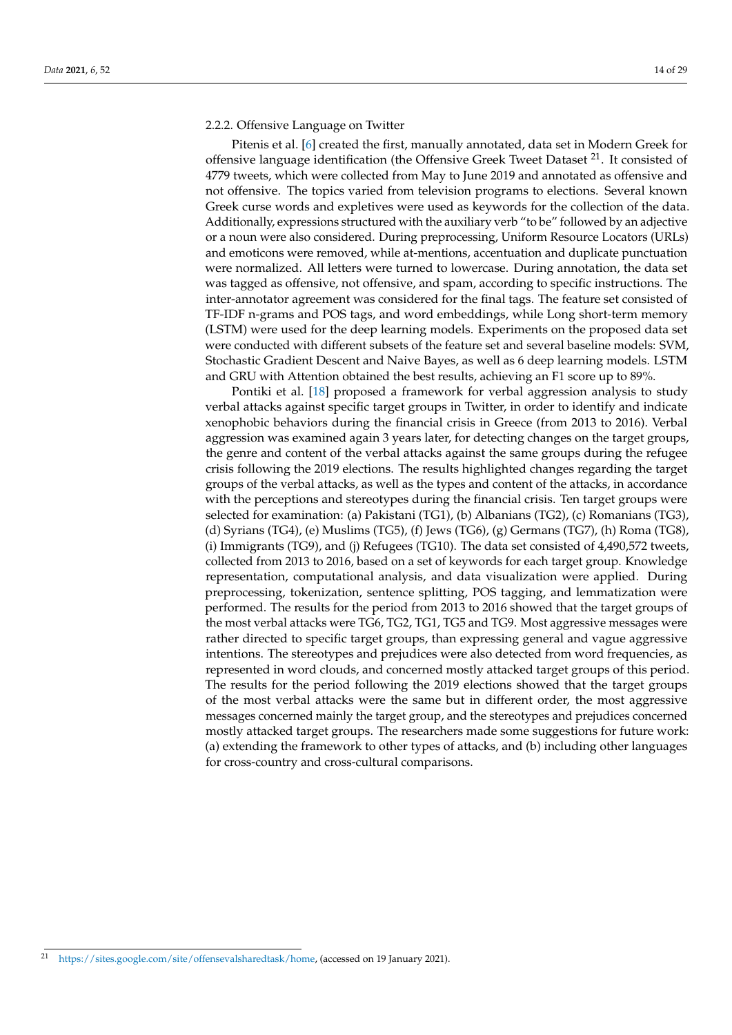## 2.2.2. Offensive Language on Twitter

Pitenis et al. [\[6\]](#page-26-10) created the first, manually annotated, data set in Modern Greek for offensive language identification (the Offensive Greek Tweet Dataset  $2<sup>1</sup>$ . It consisted of 4779 tweets, which were collected from May to June 2019 and annotated as offensive and not offensive. The topics varied from television programs to elections. Several known Greek curse words and expletives were used as keywords for the collection of the data. Additionally, expressions structured with the auxiliary verb "to be" followed by an adjective or a noun were also considered. During preprocessing, Uniform Resource Locators (URLs) and emoticons were removed, while at-mentions, accentuation and duplicate punctuation were normalized. All letters were turned to lowercase. During annotation, the data set was tagged as offensive, not offensive, and spam, according to specific instructions. The inter-annotator agreement was considered for the final tags. The feature set consisted of TF-IDF n-grams and POS tags, and word embeddings, while Long short-term memory (LSTM) were used for the deep learning models. Experiments on the proposed data set were conducted with different subsets of the feature set and several baseline models: SVM, Stochastic Gradient Descent and Naive Bayes, as well as 6 deep learning models. LSTM and GRU with Attention obtained the best results, achieving an F1 score up to 89%.

Pontiki et al. [\[18\]](#page-26-12) proposed a framework for verbal aggression analysis to study verbal attacks against specific target groups in Twitter, in order to identify and indicate xenophobic behaviors during the financial crisis in Greece (from 2013 to 2016). Verbal aggression was examined again 3 years later, for detecting changes on the target groups, the genre and content of the verbal attacks against the same groups during the refugee crisis following the 2019 elections. The results highlighted changes regarding the target groups of the verbal attacks, as well as the types and content of the attacks, in accordance with the perceptions and stereotypes during the financial crisis. Ten target groups were selected for examination: (a) Pakistani (TG1), (b) Albanians (TG2), (c) Romanians (TG3), (d) Syrians (TG4), (e) Muslims (TG5), (f) Jews (TG6), (g) Germans (TG7), (h) Roma (TG8), (i) Immigrants (TG9), and (j) Refugees (TG10). The data set consisted of 4,490,572 tweets, collected from 2013 to 2016, based on a set of keywords for each target group. Knowledge representation, computational analysis, and data visualization were applied. During preprocessing, tokenization, sentence splitting, POS tagging, and lemmatization were performed. The results for the period from 2013 to 2016 showed that the target groups of the most verbal attacks were TG6, TG2, TG1, TG5 and TG9. Most aggressive messages were rather directed to specific target groups, than expressing general and vague aggressive intentions. The stereotypes and prejudices were also detected from word frequencies, as represented in word clouds, and concerned mostly attacked target groups of this period. The results for the period following the 2019 elections showed that the target groups of the most verbal attacks were the same but in different order, the most aggressive messages concerned mainly the target group, and the stereotypes and prejudices concerned mostly attacked target groups. The researchers made some suggestions for future work: (a) extending the framework to other types of attacks, and (b) including other languages for cross-country and cross-cultural comparisons.

<sup>21</sup> [https://sites.google.com/site/offensevalsharedtask/home,](https://sites.google.com/site/offensevalsharedtask/home) (accessed on 19 January 2021).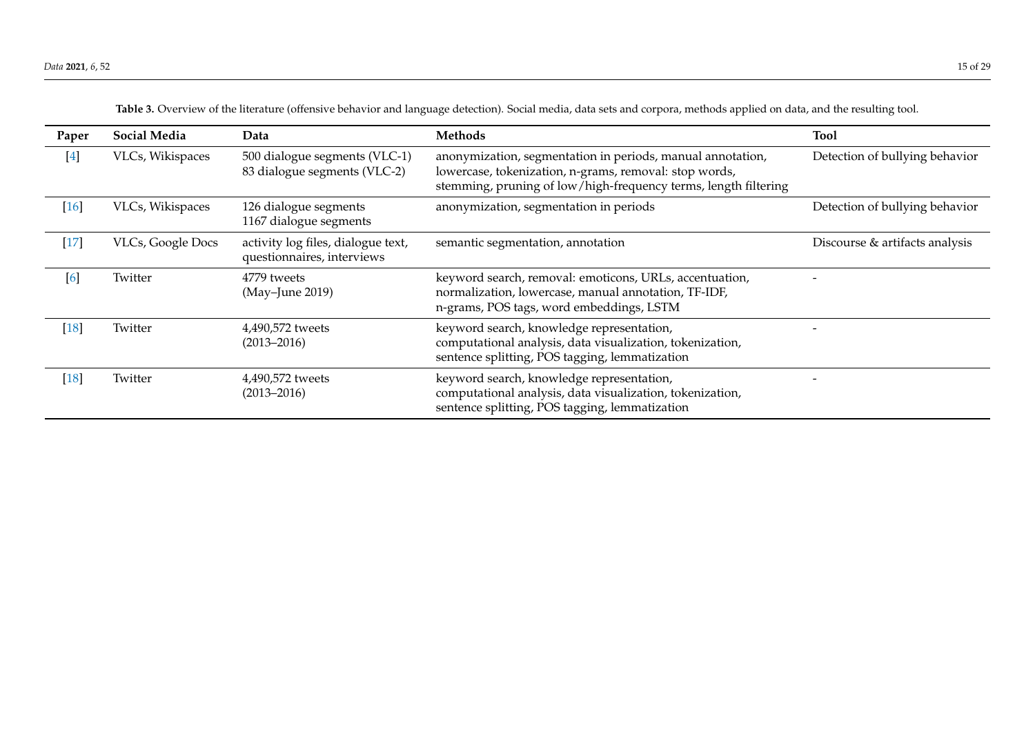<span id="page-14-0"></span>

| Paper  | <b>Social Media</b>      | Data                                                             | <b>Methods</b>                                                                                                                                                                          | <b>Tool</b>                    |
|--------|--------------------------|------------------------------------------------------------------|-----------------------------------------------------------------------------------------------------------------------------------------------------------------------------------------|--------------------------------|
| $[4]$  | VLCs, Wikispaces         | 500 dialogue segments (VLC-1)<br>83 dialogue segments (VLC-2)    | anonymization, segmentation in periods, manual annotation,<br>lowercase, tokenization, n-grams, removal: stop words,<br>stemming, pruning of low/high-frequency terms, length filtering | Detection of bullying behavior |
| $[16]$ | VLCs, Wikispaces         | 126 dialogue segments<br>1167 dialogue segments                  | anonymization, segmentation in periods                                                                                                                                                  | Detection of bullying behavior |
| $[17]$ | <b>VLCs, Google Docs</b> | activity log files, dialogue text,<br>questionnaires, interviews | semantic segmentation, annotation                                                                                                                                                       | Discourse & artifacts analysis |
| [6]    | Twitter                  | 4779 tweets<br>(May-June 2019)                                   | keyword search, removal: emoticons, URLs, accentuation,<br>normalization, lowercase, manual annotation, TF-IDF,<br>n-grams, POS tags, word embeddings, LSTM                             |                                |
| $[18]$ | Twitter                  | 4,490,572 tweets<br>$(2013 - 2016)$                              | keyword search, knowledge representation,<br>computational analysis, data visualization, tokenization,<br>sentence splitting, POS tagging, lemmatization                                |                                |
| $[18]$ | Twitter                  | 4,490,572 tweets<br>$(2013 - 2016)$                              | keyword search, knowledge representation,<br>computational analysis, data visualization, tokenization,<br>sentence splitting, POS tagging, lemmatization                                |                                |

**Table 3.** Overview of the literature (offensive behavior and language detection). Social media, data sets and corpora, methods applied on data, and the resulting tool.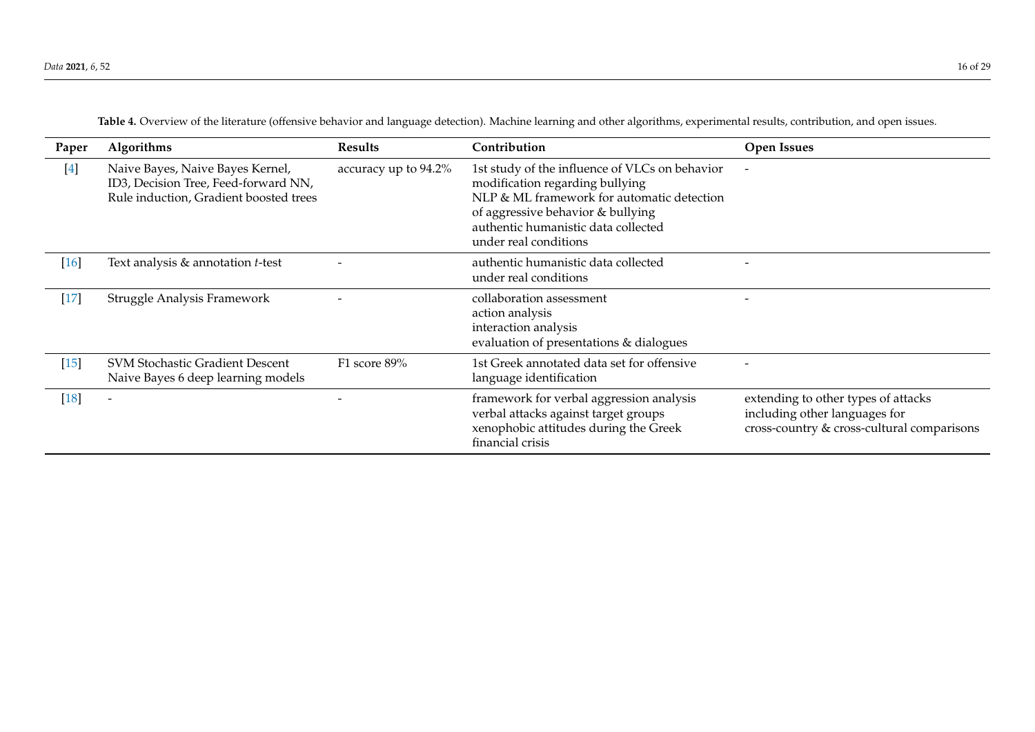<span id="page-15-0"></span>

| Paper  | Algorithms                                                                                                         | <b>Results</b>       | Contribution                                                                                                                                                                                                                         | <b>Open Issues</b>                                                                                                 |
|--------|--------------------------------------------------------------------------------------------------------------------|----------------------|--------------------------------------------------------------------------------------------------------------------------------------------------------------------------------------------------------------------------------------|--------------------------------------------------------------------------------------------------------------------|
| $[4]$  | Naive Bayes, Naive Bayes Kernel,<br>ID3, Decision Tree, Feed-forward NN,<br>Rule induction, Gradient boosted trees | accuracy up to 94.2% | 1st study of the influence of VLCs on behavior<br>modification regarding bullying<br>NLP & ML framework for automatic detection<br>of aggressive behavior & bullying<br>authentic humanistic data collected<br>under real conditions |                                                                                                                    |
| $[16]$ | Text analysis & annotation t-test                                                                                  |                      | authentic humanistic data collected<br>under real conditions                                                                                                                                                                         |                                                                                                                    |
| $[17]$ | Struggle Analysis Framework                                                                                        |                      | collaboration assessment<br>action analysis<br>interaction analysis<br>evaluation of presentations & dialogues                                                                                                                       |                                                                                                                    |
| $[15]$ | <b>SVM Stochastic Gradient Descent</b><br>Naive Bayes 6 deep learning models                                       | F1 score 89%         | 1st Greek annotated data set for offensive<br>language identification                                                                                                                                                                |                                                                                                                    |
| $[18]$ |                                                                                                                    |                      | framework for verbal aggression analysis<br>verbal attacks against target groups<br>xenophobic attitudes during the Greek<br>financial crisis                                                                                        | extending to other types of attacks<br>including other languages for<br>cross-country & cross-cultural comparisons |

**Table 4.** Overview of the literature (offensive behavior and language detection). Machine learning and other algorithms, experimental results, contribution, and open issues.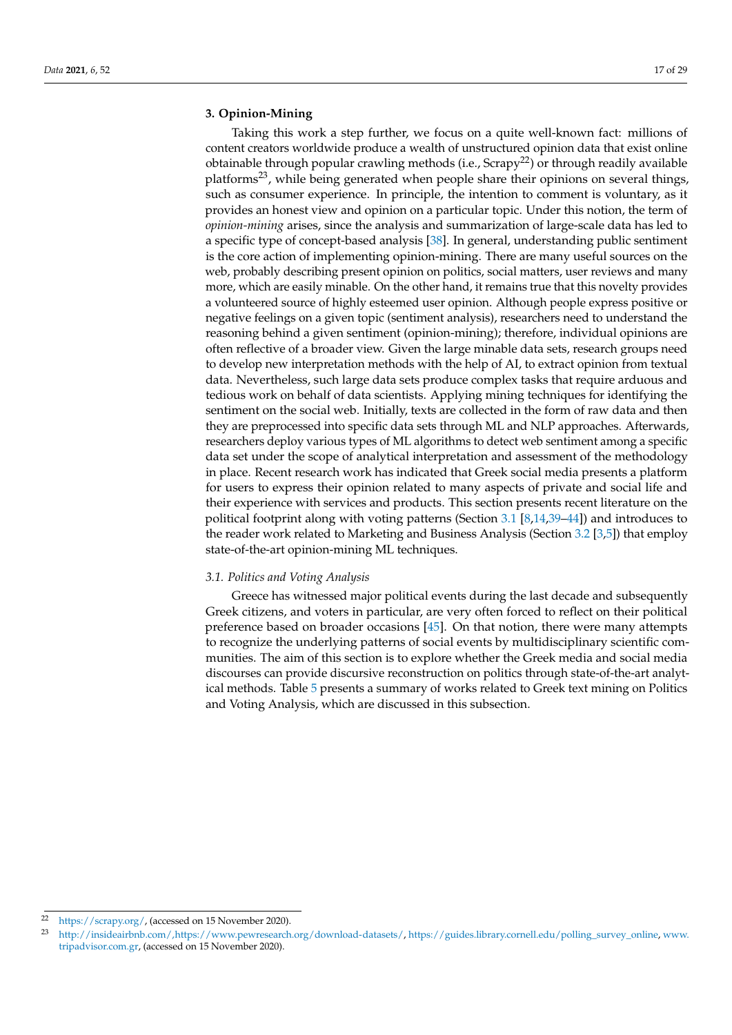## <span id="page-16-0"></span>**3. Opinion-Mining**

Taking this work a step further, we focus on a quite well-known fact: millions of content creators worldwide produce a wealth of unstructured opinion data that exist online obtainable through popular crawling methods (i.e.,  $Scrapy^{22}$ ) or through readily available platforms<sup>23</sup>, while being generated when people share their opinions on several things, such as consumer experience. In principle, the intention to comment is voluntary, as it provides an honest view and opinion on a particular topic. Under this notion, the term of *opinion-mining* arises, since the analysis and summarization of large-scale data has led to a specific type of concept-based analysis [\[38\]](#page-27-19). In general, understanding public sentiment is the core action of implementing opinion-mining. There are many useful sources on the web, probably describing present opinion on politics, social matters, user reviews and many more, which are easily minable. On the other hand, it remains true that this novelty provides a volunteered source of highly esteemed user opinion. Although people express positive or negative feelings on a given topic (sentiment analysis), researchers need to understand the reasoning behind a given sentiment (opinion-mining); therefore, individual opinions are often reflective of a broader view. Given the large minable data sets, research groups need to develop new interpretation methods with the help of AI, to extract opinion from textual data. Nevertheless, such large data sets produce complex tasks that require arduous and tedious work on behalf of data scientists. Applying mining techniques for identifying the sentiment on the social web. Initially, texts are collected in the form of raw data and then they are preprocessed into specific data sets through ML and NLP approaches. Afterwards, researchers deploy various types of ML algorithms to detect web sentiment among a specific data set under the scope of analytical interpretation and assessment of the methodology in place. Recent research work has indicated that Greek social media presents a platform for users to express their opinion related to many aspects of private and social life and their experience with services and products. This section presents recent literature on the political footprint along with voting patterns (Section [3.1](#page-16-1) [\[8,](#page-26-4)[14](#page-26-25)[,39](#page-27-20)[–44\]](#page-27-21)) and introduces to the reader work related to Marketing and Business Analysis (Section [3.2](#page-20-0) [\[3,](#page-26-2)[5\]](#page-26-3)) that employ state-of-the-art opinion-mining ML techniques.

## <span id="page-16-1"></span>*3.1. Politics and Voting Analysis*

Greece has witnessed major political events during the last decade and subsequently Greek citizens, and voters in particular, are very often forced to reflect on their political preference based on broader occasions [\[45\]](#page-27-22). On that notion, there were many attempts to recognize the underlying patterns of social events by multidisciplinary scientific communities. The aim of this section is to explore whether the Greek media and social media discourses can provide discursive reconstruction on politics through state-of-the-art analytical methods. Table [5](#page-17-0) presents a summary of works related to Greek text mining on Politics and Voting Analysis, which are discussed in this subsection.

<sup>22</sup> [https://scrapy.org/,](https://scrapy.org/) (accessed on 15 November 2020).

<sup>23</sup> [http://insideairbnb.com/,https://www.pewresearch.org/download-datasets/,](http://insideairbnb.com/, https://www.pewresearch.org/download-datasets/) [https://guides.library.cornell.edu/polling\\_survey\\_online,](https://guides.library.cornell.edu/polling_survey_online) [www.](www.tripadvisor.com.gr) [tripadvisor.com.gr,](www.tripadvisor.com.gr) (accessed on 15 November 2020).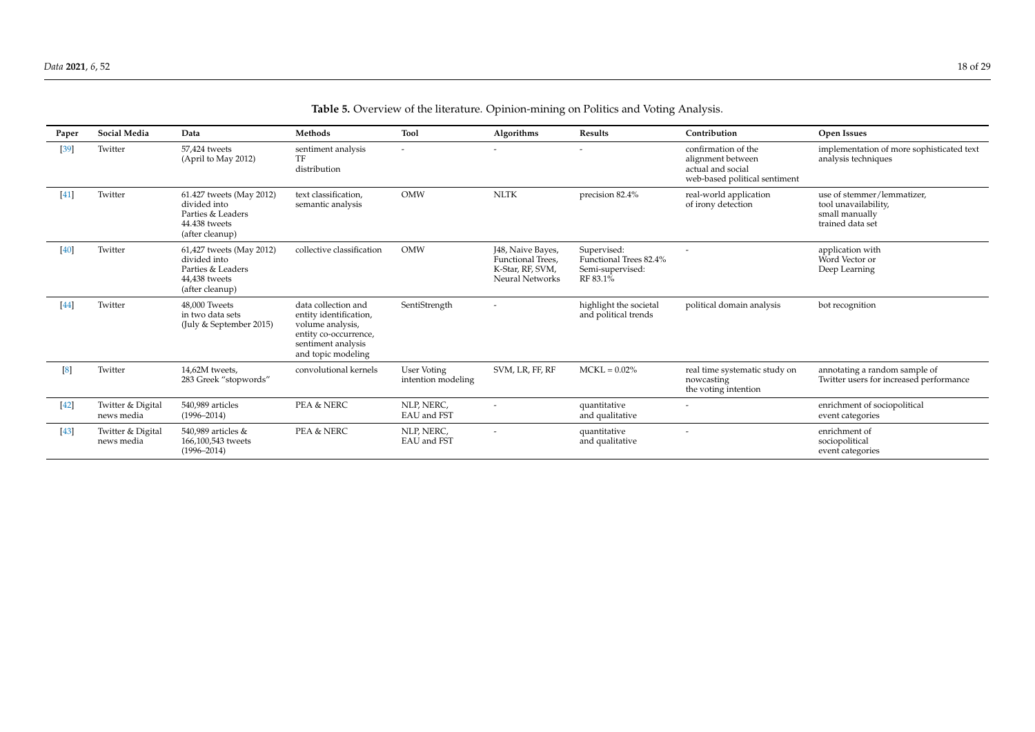<span id="page-17-0"></span>

| Paper  | <b>Social Media</b>             | Data                                                                                              | Methods                                                                                                                                | Tool                                     | Algorithms                                                                           | Results                                                               | Contribution                                                                                   | Open Issues                                                                              |
|--------|---------------------------------|---------------------------------------------------------------------------------------------------|----------------------------------------------------------------------------------------------------------------------------------------|------------------------------------------|--------------------------------------------------------------------------------------|-----------------------------------------------------------------------|------------------------------------------------------------------------------------------------|------------------------------------------------------------------------------------------|
| $[39]$ | Twitter                         | 57.424 tweets<br>(April to May 2012)                                                              | sentiment analysis<br>TF<br>distribution                                                                                               |                                          |                                                                                      |                                                                       | confirmation of the<br>alignment between<br>actual and social<br>web-based political sentiment | implementation of more sophisticated text<br>analysis techniques                         |
| [41]   | Twitter                         | 61.427 tweets (May 2012)<br>divided into<br>Parties & Leaders<br>44.438 tweets<br>(after cleanup) | text classification,<br>semantic analysis                                                                                              | <b>OMW</b>                               | <b>NLTK</b>                                                                          | precision 82.4%                                                       | real-world application<br>of irony detection                                                   | use of stemmer/lemmatizer,<br>tool unavailability,<br>small manually<br>trained data set |
| [40]   | Twitter                         | 61,427 tweets (May 2012)<br>divided into<br>Parties & Leaders<br>44,438 tweets<br>(after cleanup) | collective classification                                                                                                              | <b>OMW</b>                               | J48, Naive Bayes,<br>Functional Trees.<br>K-Star, RF, SVM,<br><b>Neural Networks</b> | Supervised:<br>Functional Trees 82.4%<br>Semi-supervised:<br>RF 83.1% |                                                                                                | application with<br>Word Vector or<br>Deep Learning                                      |
| [44]   | Twitter                         | 48,000 Tweets<br>in two data sets<br>(July & September 2015)                                      | data collection and<br>entity identification,<br>volume analysis,<br>entity co-occurrence,<br>sentiment analysis<br>and topic modeling | SentiStrength                            |                                                                                      | highlight the societal<br>and political trends                        | political domain analysis                                                                      | bot recognition                                                                          |
| [8]    | Twitter                         | 14,62M tweets,<br>283 Greek "stopwords"                                                           | convolutional kernels                                                                                                                  | <b>User Voting</b><br>intention modeling | SVM, LR, FF, RF                                                                      | $MCKL = 0.02\%$                                                       | real time systematic study on<br>nowcasting<br>the voting intention                            | annotating a random sample of<br>Twitter users for increased performance                 |
| $[42]$ | Twitter & Digital<br>news media | 540,989 articles<br>$(1996 - 2014)$                                                               | <b>PEA &amp; NERC</b>                                                                                                                  | NLP, NERC,<br>EAU and FST                |                                                                                      | quantitative<br>and qualitative                                       |                                                                                                | enrichment of sociopolitical<br>event categories                                         |
| [43]   | Twitter & Digital<br>news media | 540,989 articles &<br>166,100,543 tweets<br>$(1996 - 2014)$                                       | <b>PEA &amp; NERC</b>                                                                                                                  | NLP, NERC,<br>EAU and FST                | $\overline{\phantom{a}}$                                                             | quantitative<br>and qualitative                                       | $\overline{\phantom{a}}$                                                                       | enrichment of<br>sociopolitical<br>event categories                                      |

# **Table 5.** Overview of the literature. Opinion-mining on Politics and Voting Analysis.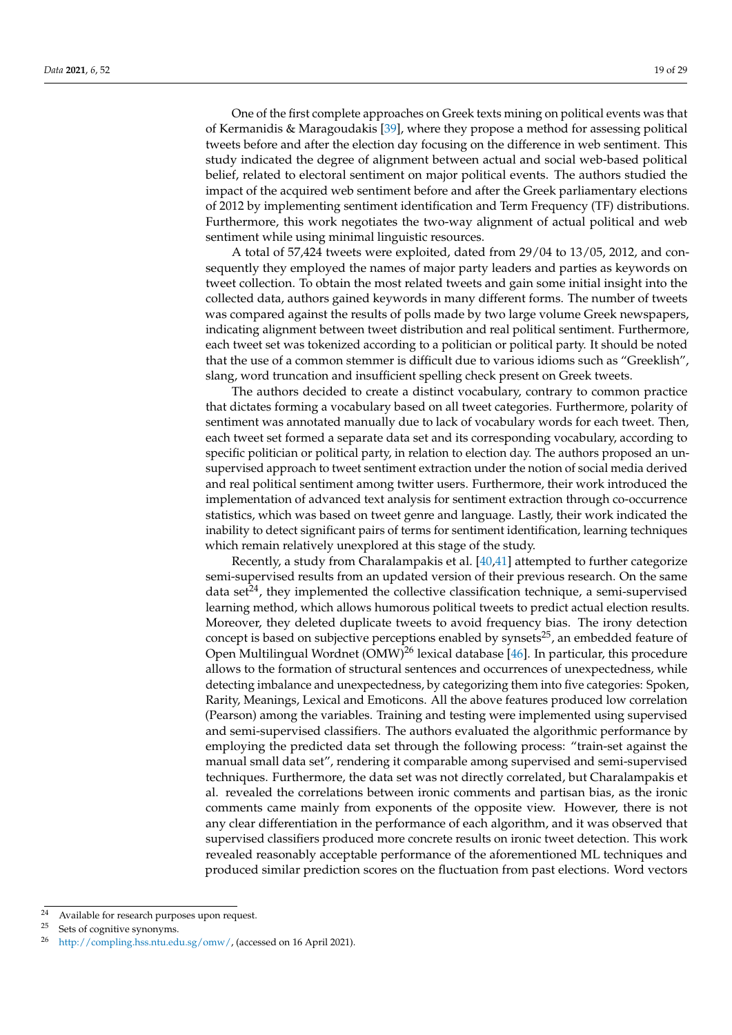One of the first complete approaches on Greek texts mining on political events was that of Kermanidis & Maragoudakis [\[39\]](#page-27-20), where they propose a method for assessing political tweets before and after the election day focusing on the difference in web sentiment. This study indicated the degree of alignment between actual and social web-based political belief, related to electoral sentiment on major political events. The authors studied the impact of the acquired web sentiment before and after the Greek parliamentary elections of 2012 by implementing sentiment identification and Term Frequency (TF) distributions. Furthermore, this work negotiates the two-way alignment of actual political and web sentiment while using minimal linguistic resources.

A total of 57,424 tweets were exploited, dated from 29/04 to 13/05, 2012, and consequently they employed the names of major party leaders and parties as keywords on tweet collection. To obtain the most related tweets and gain some initial insight into the collected data, authors gained keywords in many different forms. The number of tweets was compared against the results of polls made by two large volume Greek newspapers, indicating alignment between tweet distribution and real political sentiment. Furthermore, each tweet set was tokenized according to a politician or political party. It should be noted that the use of a common stemmer is difficult due to various idioms such as "Greeklish", slang, word truncation and insufficient spelling check present on Greek tweets.

The authors decided to create a distinct vocabulary, contrary to common practice that dictates forming a vocabulary based on all tweet categories. Furthermore, polarity of sentiment was annotated manually due to lack of vocabulary words for each tweet. Then, each tweet set formed a separate data set and its corresponding vocabulary, according to specific politician or political party, in relation to election day. The authors proposed an unsupervised approach to tweet sentiment extraction under the notion of social media derived and real political sentiment among twitter users. Furthermore, their work introduced the implementation of advanced text analysis for sentiment extraction through co-occurrence statistics, which was based on tweet genre and language. Lastly, their work indicated the inability to detect significant pairs of terms for sentiment identification, learning techniques which remain relatively unexplored at this stage of the study.

Recently, a study from Charalampakis et al. [\[40](#page-27-29)[,41\]](#page-27-30) attempted to further categorize semi-supervised results from an updated version of their previous research. On the same data set $^{24}$ , they implemented the collective classification technique, a semi-supervised learning method, which allows humorous political tweets to predict actual election results. Moreover, they deleted duplicate tweets to avoid frequency bias. The irony detection concept is based on subjective perceptions enabled by synsets<sup>25</sup>, an embedded feature of Open Multilingual Wordnet (OMW)<sup>26</sup> lexical database [\[46\]](#page-27-31). In particular, this procedure allows to the formation of structural sentences and occurrences of unexpectedness, while detecting imbalance and unexpectedness, by categorizing them into five categories: Spoken, Rarity, Meanings, Lexical and Emoticons. All the above features produced low correlation (Pearson) among the variables. Training and testing were implemented using supervised and semi-supervised classifiers. The authors evaluated the algorithmic performance by employing the predicted data set through the following process: "train-set against the manual small data set", rendering it comparable among supervised and semi-supervised techniques. Furthermore, the data set was not directly correlated, but Charalampakis et al. revealed the correlations between ironic comments and partisan bias, as the ironic comments came mainly from exponents of the opposite view. However, there is not any clear differentiation in the performance of each algorithm, and it was observed that supervised classifiers produced more concrete results on ironic tweet detection. This work revealed reasonably acceptable performance of the aforementioned ML techniques and produced similar prediction scores on the fluctuation from past elections. Word vectors

<sup>24</sup> Available for research purposes upon request.

<sup>25</sup> Sets of cognitive synonyms.

<sup>26</sup> [http://compling.hss.ntu.edu.sg/omw/,](http://compling.hss.ntu.edu.sg/omw/) (accessed on 16 April 2021).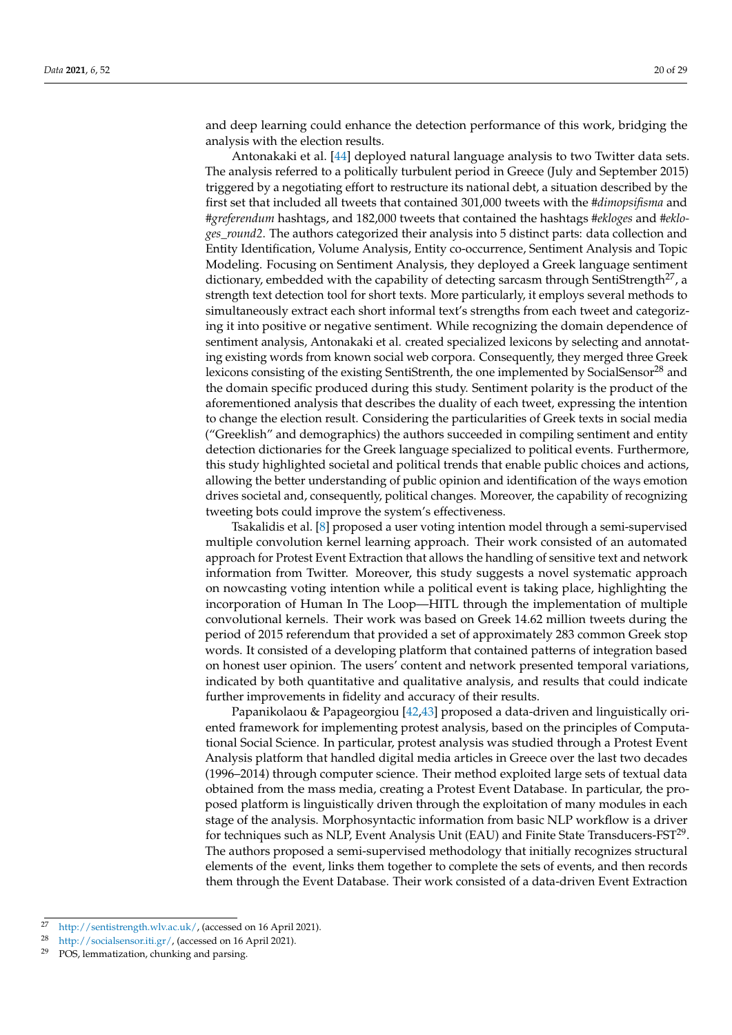and deep learning could enhance the detection performance of this work, bridging the analysis with the election results.

Antonakaki et al. [\[44\]](#page-27-21) deployed natural language analysis to two Twitter data sets. The analysis referred to a politically turbulent period in Greece (July and September 2015) triggered by a negotiating effort to restructure its national debt, a situation described by the first set that included all tweets that contained 301,000 tweets with the *#dimopsifisma* and *#greferendum* hashtags, and 182,000 tweets that contained the hashtags *#ekloges* and *#ekloges\_round2*. The authors categorized their analysis into 5 distinct parts: data collection and Entity Identification, Volume Analysis, Entity co-occurrence, Sentiment Analysis and Topic Modeling. Focusing on Sentiment Analysis, they deployed a Greek language sentiment dictionary, embedded with the capability of detecting sarcasm through SentiStrength<sup>27</sup>, a strength text detection tool for short texts. More particularly, it employs several methods to simultaneously extract each short informal text's strengths from each tweet and categorizing it into positive or negative sentiment. While recognizing the domain dependence of sentiment analysis, Antonakaki et al. created specialized lexicons by selecting and annotating existing words from known social web corpora. Consequently, they merged three Greek lexicons consisting of the existing SentiStrenth, the one implemented by SocialSensor<sup>28</sup> and the domain specific produced during this study. Sentiment polarity is the product of the aforementioned analysis that describes the duality of each tweet, expressing the intention to change the election result. Considering the particularities of Greek texts in social media ("Greeklish" and demographics) the authors succeeded in compiling sentiment and entity detection dictionaries for the Greek language specialized to political events. Furthermore, this study highlighted societal and political trends that enable public choices and actions, allowing the better understanding of public opinion and identification of the ways emotion drives societal and, consequently, political changes. Moreover, the capability of recognizing tweeting bots could improve the system's effectiveness.

Tsakalidis et al. [\[8\]](#page-26-4) proposed a user voting intention model through a semi-supervised multiple convolution kernel learning approach. Their work consisted of an automated approach for Protest Event Extraction that allows the handling of sensitive text and network information from Twitter. Moreover, this study suggests a novel systematic approach on nowcasting voting intention while a political event is taking place, highlighting the incorporation of Human In The Loop—HITL through the implementation of multiple convolutional kernels. Their work was based on Greek 14.62 million tweets during the period of 2015 referendum that provided a set of approximately 283 common Greek stop words. It consisted of a developing platform that contained patterns of integration based on honest user opinion. The users' content and network presented temporal variations, indicated by both quantitative and qualitative analysis, and results that could indicate further improvements in fidelity and accuracy of their results.

Papanikolaou & Papageorgiou [\[42,](#page-27-32)[43\]](#page-27-33) proposed a data-driven and linguistically oriented framework for implementing protest analysis, based on the principles of Computational Social Science. In particular, protest analysis was studied through a Protest Event Analysis platform that handled digital media articles in Greece over the last two decades (1996–2014) through computer science. Their method exploited large sets of textual data obtained from the mass media, creating a Protest Event Database. In particular, the proposed platform is linguistically driven through the exploitation of many modules in each stage of the analysis. Morphosyntactic information from basic NLP workflow is a driver for techniques such as NLP, Event Analysis Unit (EAU) and Finite State Transducers-FST $^{29}$ . The authors proposed a semi-supervised methodology that initially recognizes structural elements of the event, links them together to complete the sets of events, and then records them through the Event Database. Their work consisted of a data-driven Event Extraction

<sup>27</sup> [http://sentistrength.wlv.ac.uk/,](http://sentistrength.wlv.ac.uk/) (accessed on 16 April 2021).

<sup>28</sup> [http://socialsensor.iti.gr/,](http://socialsensor.iti.gr/) (accessed on 16 April 2021).

 $29$  POS, lemmatization, chunking and parsing.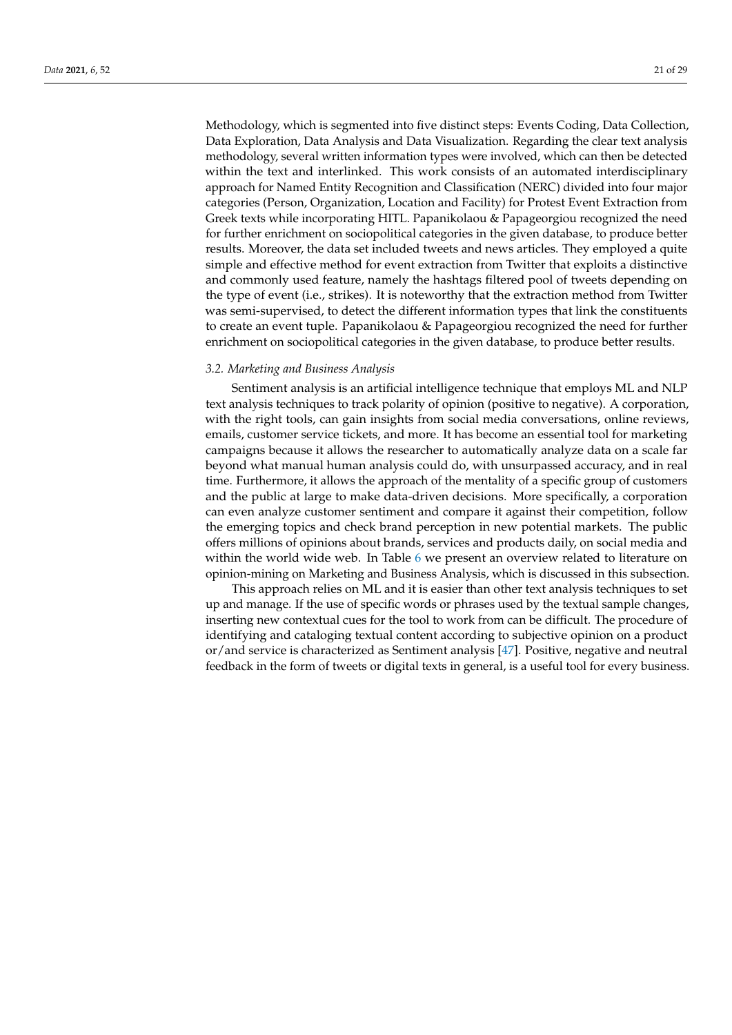Methodology, which is segmented into five distinct steps: Events Coding, Data Collection, Data Exploration, Data Analysis and Data Visualization. Regarding the clear text analysis methodology, several written information types were involved, which can then be detected within the text and interlinked. This work consists of an automated interdisciplinary approach for Named Entity Recognition and Classification (NERC) divided into four major categories (Person, Organization, Location and Facility) for Protest Event Extraction from Greek texts while incorporating HITL. Papanikolaou & Papageorgiou recognized the need for further enrichment on sociopolitical categories in the given database, to produce better results. Moreover, the data set included tweets and news articles. They employed a quite simple and effective method for event extraction from Twitter that exploits a distinctive and commonly used feature, namely the hashtags filtered pool of tweets depending on the type of event (i.e., strikes). It is noteworthy that the extraction method from Twitter was semi-supervised, to detect the different information types that link the constituents to create an event tuple. Papanikolaou & Papageorgiou recognized the need for further enrichment on sociopolitical categories in the given database, to produce better results.

## <span id="page-20-0"></span>*3.2. Marketing and Business Analysis*

Sentiment analysis is an artificial intelligence technique that employs ML and NLP text analysis techniques to track polarity of opinion (positive to negative). A corporation, with the right tools, can gain insights from social media conversations, online reviews, emails, customer service tickets, and more. It has become an essential tool for marketing campaigns because it allows the researcher to automatically analyze data on a scale far beyond what manual human analysis could do, with unsurpassed accuracy, and in real time. Furthermore, it allows the approach of the mentality of a specific group of customers and the public at large to make data-driven decisions. More specifically, a corporation can even analyze customer sentiment and compare it against their competition, follow the emerging topics and check brand perception in new potential markets. The public offers millions of opinions about brands, services and products daily, on social media and within the world wide web. In Table [6](#page-21-0) we present an overview related to literature on opinion-mining on Marketing and Business Analysis, which is discussed in this subsection.

This approach relies on ML and it is easier than other text analysis techniques to set up and manage. If the use of specific words or phrases used by the textual sample changes, inserting new contextual cues for the tool to work from can be difficult. The procedure of identifying and cataloging textual content according to subjective opinion on a product or/and service is characterized as Sentiment analysis [\[47\]](#page-27-34). Positive, negative and neutral feedback in the form of tweets or digital texts in general, is a useful tool for every business.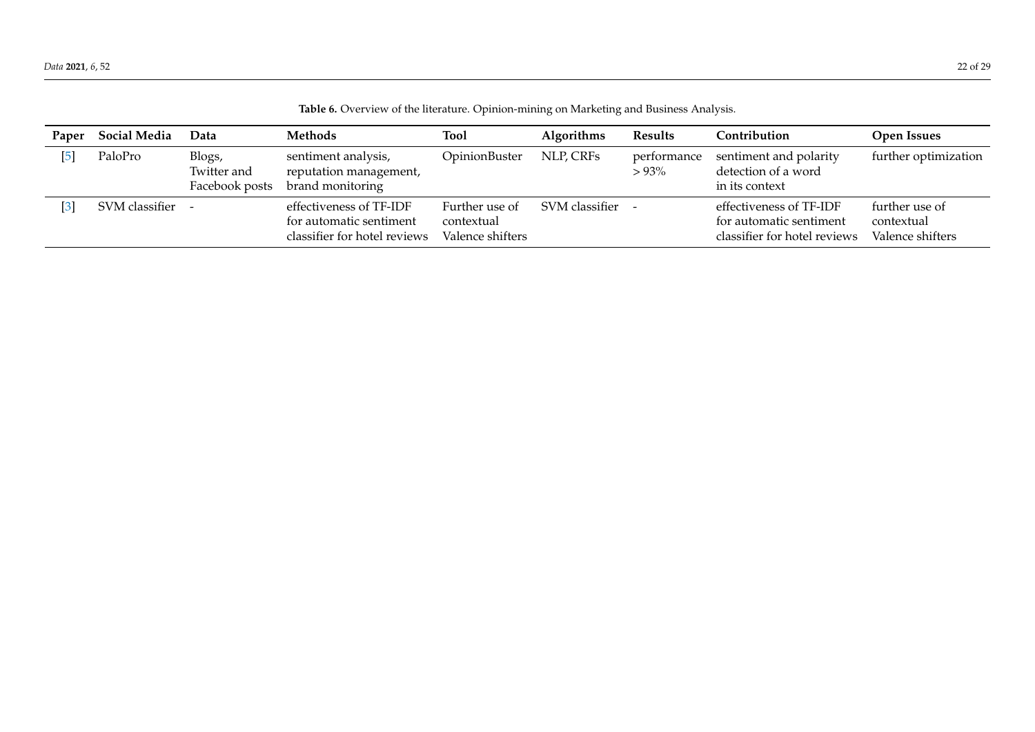| Table 6. Overview of the literature. Opinion-mining on Marketing and Business Analysis. |  |  |
|-----------------------------------------------------------------------------------------|--|--|
|                                                                                         |  |  |

<span id="page-21-0"></span>

| Paper | <b>Social Media</b> | Data                                    | <b>Methods</b>                                                                     | <b>Tool</b>                                      | Algorithms     | <b>Results</b>         | Contribution                                                                       | <b>Open Issues</b>                               |
|-------|---------------------|-----------------------------------------|------------------------------------------------------------------------------------|--------------------------------------------------|----------------|------------------------|------------------------------------------------------------------------------------|--------------------------------------------------|
|       | PaloPro             | Blogs,<br>Twitter and<br>Facebook posts | sentiment analysis,<br>reputation management,<br>brand monitoring                  | OpinionBuster                                    | NLP, CRFs      | performance<br>$>93\%$ | sentiment and polarity<br>detection of a word<br>in its context                    | further optimization                             |
|       | SVM classifier -    |                                         | effectiveness of TF-IDF<br>for automatic sentiment<br>classifier for hotel reviews | Further use of<br>contextual<br>Valence shifters | SVM classifier |                        | effectiveness of TF-IDF<br>for automatic sentiment<br>classifier for hotel reviews | further use of<br>contextual<br>Valence shifters |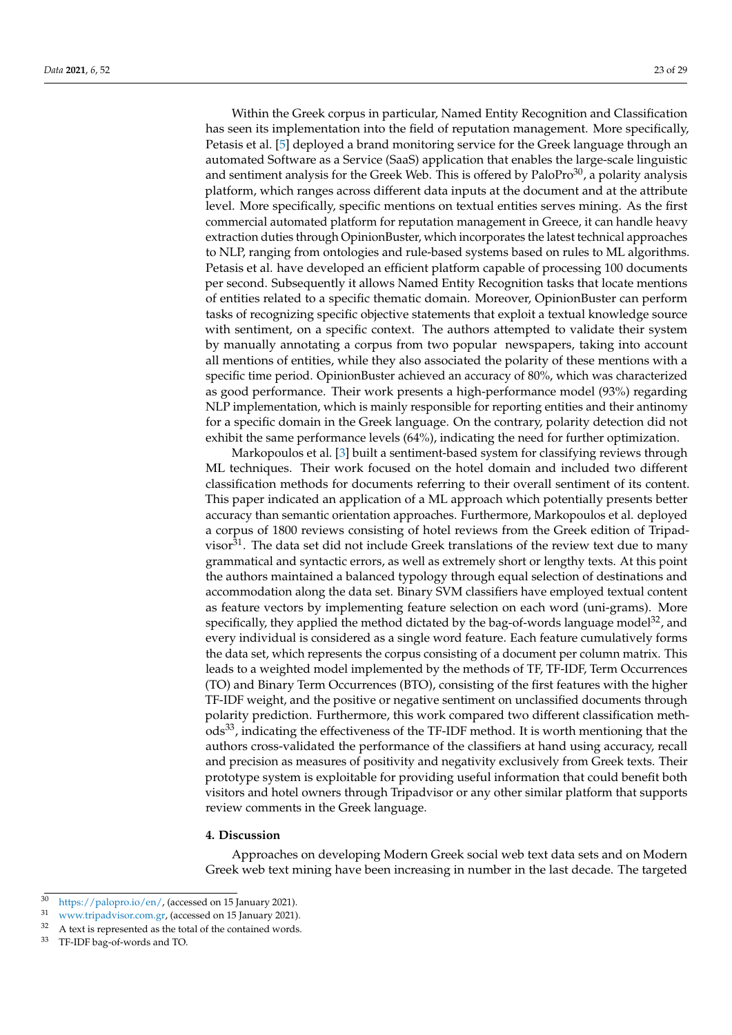Within the Greek corpus in particular, Named Entity Recognition and Classification has seen its implementation into the field of reputation management. More specifically, Petasis et al. [\[5\]](#page-26-3) deployed a brand monitoring service for the Greek language through an automated Software as a Service (SaaS) application that enables the large-scale linguistic and sentiment analysis for the Greek Web. This is offered by  $PaloPro^{30}$ , a polarity analysis platform, which ranges across different data inputs at the document and at the attribute level. More specifically, specific mentions on textual entities serves mining. As the first commercial automated platform for reputation management in Greece, it can handle heavy extraction duties through OpinionBuster, which incorporates the latest technical approaches to NLP, ranging from ontologies and rule-based systems based on rules to ML algorithms. Petasis et al. have developed an efficient platform capable of processing 100 documents per second. Subsequently it allows Named Entity Recognition tasks that locate mentions of entities related to a specific thematic domain. Moreover, OpinionBuster can perform tasks of recognizing specific objective statements that exploit a textual knowledge source with sentiment, on a specific context. The authors attempted to validate their system by manually annotating a corpus from two popular newspapers, taking into account all mentions of entities, while they also associated the polarity of these mentions with a specific time period. OpinionBuster achieved an accuracy of 80%, which was characterized as good performance. Their work presents a high-performance model (93%) regarding NLP implementation, which is mainly responsible for reporting entities and their antinomy for a specific domain in the Greek language. On the contrary, polarity detection did not exhibit the same performance levels (64%), indicating the need for further optimization.

Markopoulos et al. [\[3\]](#page-26-2) built a sentiment-based system for classifying reviews through ML techniques. Their work focused on the hotel domain and included two different classification methods for documents referring to their overall sentiment of its content. This paper indicated an application of a ML approach which potentially presents better accuracy than semantic orientation approaches. Furthermore, Markopoulos et al. deployed a corpus of 1800 reviews consisting of hotel reviews from the Greek edition of Tripadvisor $31$ . The data set did not include Greek translations of the review text due to many grammatical and syntactic errors, as well as extremely short or lengthy texts. At this point the authors maintained a balanced typology through equal selection of destinations and accommodation along the data set. Binary SVM classifiers have employed textual content as feature vectors by implementing feature selection on each word (uni-grams). More specifically, they applied the method dictated by the bag-of-words language model $32$ , and every individual is considered as a single word feature. Each feature cumulatively forms the data set, which represents the corpus consisting of a document per column matrix. This leads to a weighted model implemented by the methods of TF, TF-IDF, Term Occurrences (TO) and Binary Term Occurrences (BTO), consisting of the first features with the higher TF-IDF weight, and the positive or negative sentiment on unclassified documents through polarity prediction. Furthermore, this work compared two different classification methods33, indicating the effectiveness of the TF-IDF method. It is worth mentioning that the authors cross-validated the performance of the classifiers at hand using accuracy, recall and precision as measures of positivity and negativity exclusively from Greek texts. Their prototype system is exploitable for providing useful information that could benefit both visitors and hotel owners through Tripadvisor or any other similar platform that supports review comments in the Greek language.

### <span id="page-22-0"></span>**4. Discussion**

Approaches on developing Modern Greek social web text data sets and on Modern Greek web text mining have been increasing in number in the last decade. The targeted

<sup>30</sup> [https://palopro.io/en/,](https://palopro.io/en/) (accessed on 15 January 2021).

[www.tripadvisor.com.gr,](www.tripadvisor.com.gr) (accessed on 15 January 2021).

<sup>&</sup>lt;sup>32</sup> A text is represented as the total of the contained words.

<sup>33</sup> TF-IDF bag-of-words and TO.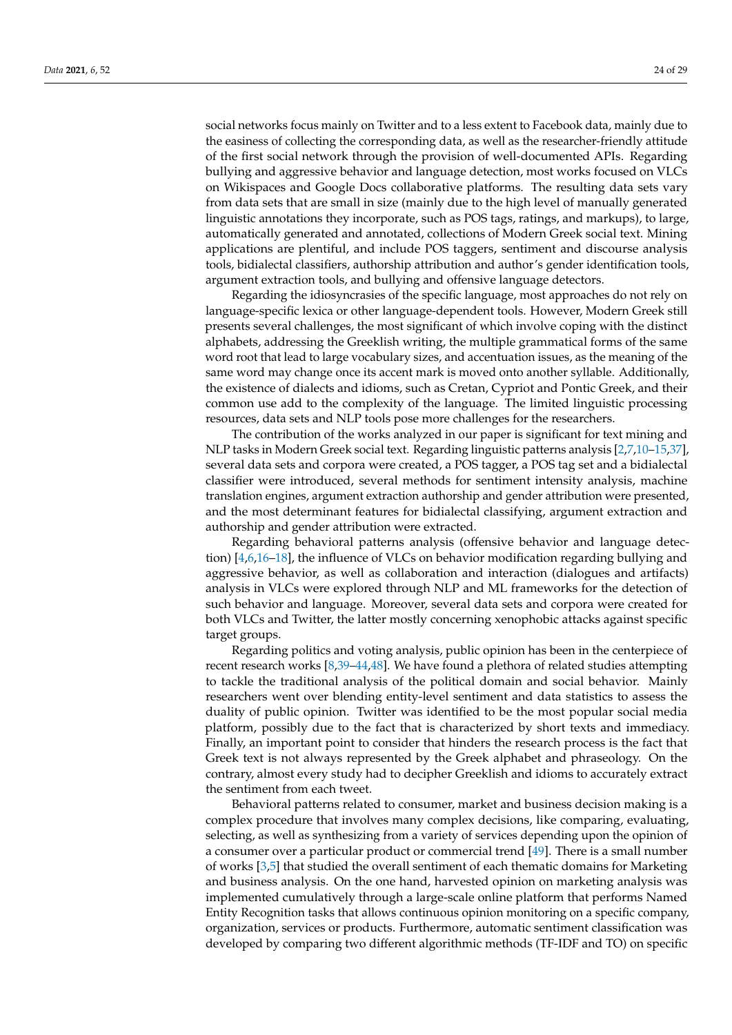social networks focus mainly on Twitter and to a less extent to Facebook data, mainly due to the easiness of collecting the corresponding data, as well as the researcher-friendly attitude of the first social network through the provision of well-documented APIs. Regarding bullying and aggressive behavior and language detection, most works focused on VLCs on Wikispaces and Google Docs collaborative platforms. The resulting data sets vary from data sets that are small in size (mainly due to the high level of manually generated linguistic annotations they incorporate, such as POS tags, ratings, and markups), to large, automatically generated and annotated, collections of Modern Greek social text. Mining applications are plentiful, and include POS taggers, sentiment and discourse analysis tools, bidialectal classifiers, authorship attribution and author's gender identification tools, argument extraction tools, and bullying and offensive language detectors.

Regarding the idiosyncrasies of the specific language, most approaches do not rely on language-specific lexica or other language-dependent tools. However, Modern Greek still presents several challenges, the most significant of which involve coping with the distinct alphabets, addressing the Greeklish writing, the multiple grammatical forms of the same word root that lead to large vocabulary sizes, and accentuation issues, as the meaning of the same word may change once its accent mark is moved onto another syllable. Additionally, the existence of dialects and idioms, such as Cretan, Cypriot and Pontic Greek, and their common use add to the complexity of the language. The limited linguistic processing resources, data sets and NLP tools pose more challenges for the researchers.

The contribution of the works analyzed in our paper is significant for text mining and NLP tasks in Modern Greek social text. Regarding linguistic patterns analysis [\[2,](#page-26-6)[7,](#page-26-1)[10](#page-26-7)[–15](#page-26-8)[,37\]](#page-27-17), several data sets and corpora were created, a POS tagger, a POS tag set and a bidialectal classifier were introduced, several methods for sentiment intensity analysis, machine translation engines, argument extraction authorship and gender attribution were presented, and the most determinant features for bidialectal classifying, argument extraction and authorship and gender attribution were extracted.

Regarding behavioral patterns analysis (offensive behavior and language detection) [\[4,](#page-26-9)[6](#page-26-10)[,16–](#page-26-11)[18\]](#page-26-12), the influence of VLCs on behavior modification regarding bullying and aggressive behavior, as well as collaboration and interaction (dialogues and artifacts) analysis in VLCs were explored through NLP and ML frameworks for the detection of such behavior and language. Moreover, several data sets and corpora were created for both VLCs and Twitter, the latter mostly concerning xenophobic attacks against specific target groups.

Regarding politics and voting analysis, public opinion has been in the centerpiece of recent research works [\[8](#page-26-4)[,39](#page-27-20)[–44](#page-27-21)[,48\]](#page-28-0). We have found a plethora of related studies attempting to tackle the traditional analysis of the political domain and social behavior. Mainly researchers went over blending entity-level sentiment and data statistics to assess the duality of public opinion. Twitter was identified to be the most popular social media platform, possibly due to the fact that is characterized by short texts and immediacy. Finally, an important point to consider that hinders the research process is the fact that Greek text is not always represented by the Greek alphabet and phraseology. On the contrary, almost every study had to decipher Greeklish and idioms to accurately extract the sentiment from each tweet.

Behavioral patterns related to consumer, market and business decision making is a complex procedure that involves many complex decisions, like comparing, evaluating, selecting, as well as synthesizing from a variety of services depending upon the opinion of a consumer over a particular product or commercial trend [\[49\]](#page-28-1). There is a small number of works [\[3](#page-26-2)[,5\]](#page-26-3) that studied the overall sentiment of each thematic domains for Marketing and business analysis. On the one hand, harvested opinion on marketing analysis was implemented cumulatively through a large-scale online platform that performs Named Entity Recognition tasks that allows continuous opinion monitoring on a specific company, organization, services or products. Furthermore, automatic sentiment classification was developed by comparing two different algorithmic methods (TF-IDF and TO) on specific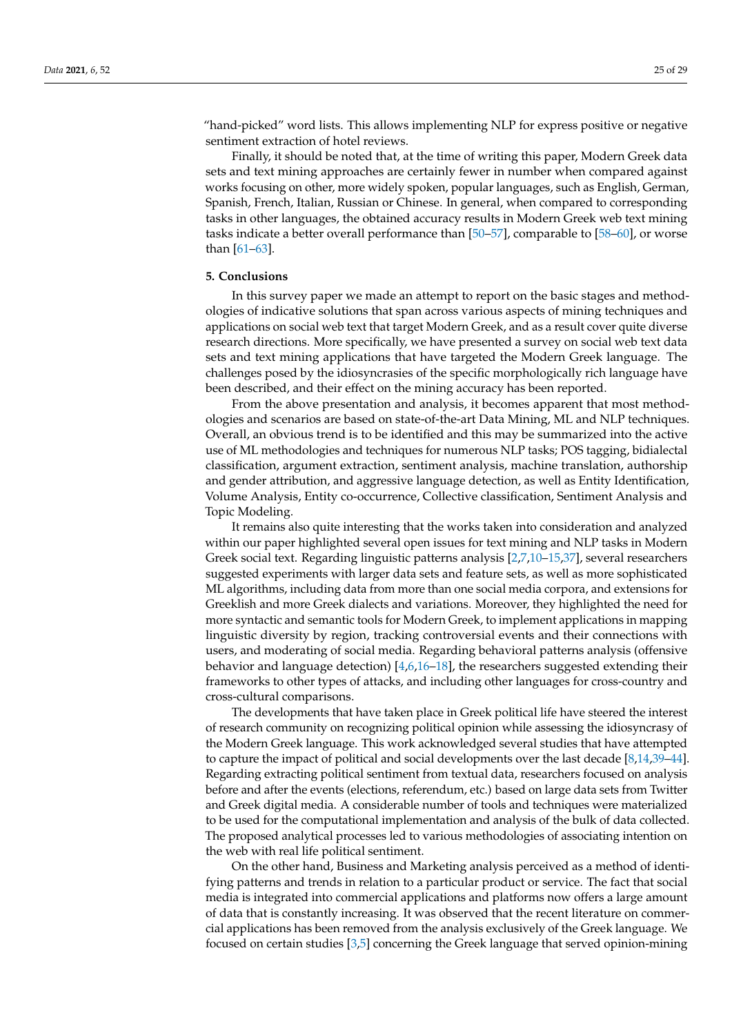"hand-picked" word lists. This allows implementing NLP for express positive or negative sentiment extraction of hotel reviews.

Finally, it should be noted that, at the time of writing this paper, Modern Greek data sets and text mining approaches are certainly fewer in number when compared against works focusing on other, more widely spoken, popular languages, such as English, German, Spanish, French, Italian, Russian or Chinese. In general, when compared to corresponding tasks in other languages, the obtained accuracy results in Modern Greek web text mining tasks indicate a better overall performance than [\[50](#page-28-2)[–57\]](#page-28-3), comparable to [\[58](#page-28-4)[–60\]](#page-28-5), or worse than [\[61–](#page-28-6)[63\]](#page-28-7).

## <span id="page-24-0"></span>**5. Conclusions**

In this survey paper we made an attempt to report on the basic stages and methodologies of indicative solutions that span across various aspects of mining techniques and applications on social web text that target Modern Greek, and as a result cover quite diverse research directions. More specifically, we have presented a survey on social web text data sets and text mining applications that have targeted the Modern Greek language. The challenges posed by the idiosyncrasies of the specific morphologically rich language have been described, and their effect on the mining accuracy has been reported.

From the above presentation and analysis, it becomes apparent that most methodologies and scenarios are based on state-of-the-art Data Mining, ML and NLP techniques. Overall, an obvious trend is to be identified and this may be summarized into the active use of ML methodologies and techniques for numerous NLP tasks; POS tagging, bidialectal classification, argument extraction, sentiment analysis, machine translation, authorship and gender attribution, and aggressive language detection, as well as Entity Identification, Volume Analysis, Entity co-occurrence, Collective classification, Sentiment Analysis and Topic Modeling.

It remains also quite interesting that the works taken into consideration and analyzed within our paper highlighted several open issues for text mining and NLP tasks in Modern Greek social text. Regarding linguistic patterns analysis [\[2,](#page-26-6)[7,](#page-26-1)[10–](#page-26-7)[15](#page-26-8)[,37\]](#page-27-17), several researchers suggested experiments with larger data sets and feature sets, as well as more sophisticated ML algorithms, including data from more than one social media corpora, and extensions for Greeklish and more Greek dialects and variations. Moreover, they highlighted the need for more syntactic and semantic tools for Modern Greek, to implement applications in mapping linguistic diversity by region, tracking controversial events and their connections with users, and moderating of social media. Regarding behavioral patterns analysis (offensive behavior and language detection) [\[4](#page-26-9)[,6](#page-26-10)[,16](#page-26-11)[–18\]](#page-26-12), the researchers suggested extending their frameworks to other types of attacks, and including other languages for cross-country and cross-cultural comparisons.

The developments that have taken place in Greek political life have steered the interest of research community on recognizing political opinion while assessing the idiosyncrasy of the Modern Greek language. This work acknowledged several studies that have attempted to capture the impact of political and social developments over the last decade [\[8](#page-26-4)[,14](#page-26-25)[,39](#page-27-20)[–44\]](#page-27-21). Regarding extracting political sentiment from textual data, researchers focused on analysis before and after the events (elections, referendum, etc.) based on large data sets from Twitter and Greek digital media. A considerable number of tools and techniques were materialized to be used for the computational implementation and analysis of the bulk of data collected. The proposed analytical processes led to various methodologies of associating intention on the web with real life political sentiment.

On the other hand, Business and Marketing analysis perceived as a method of identifying patterns and trends in relation to a particular product or service. The fact that social media is integrated into commercial applications and platforms now offers a large amount of data that is constantly increasing. It was observed that the recent literature on commercial applications has been removed from the analysis exclusively of the Greek language. We focused on certain studies [\[3](#page-26-2)[,5\]](#page-26-3) concerning the Greek language that served opinion-mining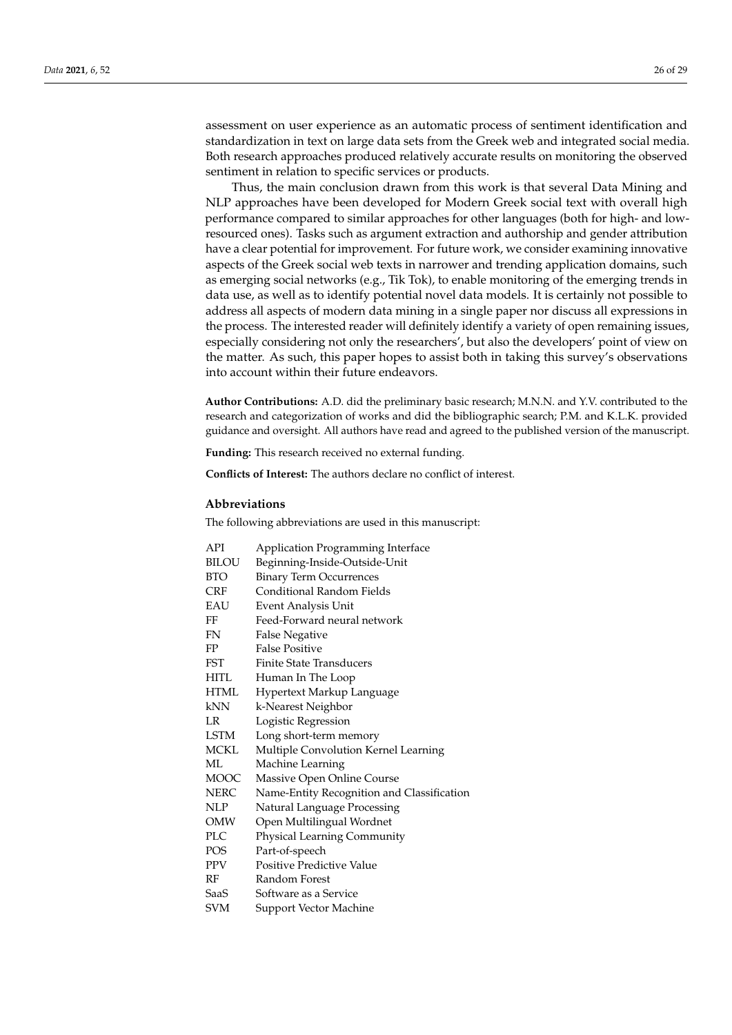assessment on user experience as an automatic process of sentiment identification and standardization in text on large data sets from the Greek web and integrated social media. Both research approaches produced relatively accurate results on monitoring the observed sentiment in relation to specific services or products.

Thus, the main conclusion drawn from this work is that several Data Mining and NLP approaches have been developed for Modern Greek social text with overall high performance compared to similar approaches for other languages (both for high- and lowresourced ones). Tasks such as argument extraction and authorship and gender attribution have a clear potential for improvement. For future work, we consider examining innovative aspects of the Greek social web texts in narrower and trending application domains, such as emerging social networks (e.g., Tik Tok), to enable monitoring of the emerging trends in data use, as well as to identify potential novel data models. It is certainly not possible to address all aspects of modern data mining in a single paper nor discuss all expressions in the process. The interested reader will definitely identify a variety of open remaining issues, especially considering not only the researchers', but also the developers' point of view on the matter. As such, this paper hopes to assist both in taking this survey's observations into account within their future endeavors.

**Author Contributions:** A.D. did the preliminary basic research; M.N.N. and Y.V. contributed to the research and categorization of works and did the bibliographic search; P.M. and K.L.K. provided guidance and oversight. All authors have read and agreed to the published version of the manuscript.

**Funding:** This research received no external funding.

**Conflicts of Interest:** The authors declare no conflict of interest.

## **Abbreviations**

The following abbreviations are used in this manuscript:

| API          | Application Programming Interface          |
|--------------|--------------------------------------------|
| <b>BILOU</b> | Beginning-Inside-Outside-Unit              |
| <b>BTO</b>   | <b>Binary Term Occurrences</b>             |
| <b>CRF</b>   | Conditional Random Fields                  |
| EAU          | Event Analysis Unit                        |
| FF           | Feed-Forward neural network                |
| FN           | <b>False Negative</b>                      |
| FP           | <b>False Positive</b>                      |
| <b>FST</b>   | <b>Finite State Transducers</b>            |
| <b>HITL</b>  | Human In The Loop                          |
| <b>HTML</b>  | Hypertext Markup Language                  |
| kNN          | k-Nearest Neighbor                         |
| LR           | Logistic Regression                        |
| <b>LSTM</b>  | Long short-term memory                     |
| <b>MCKL</b>  | Multiple Convolution Kernel Learning       |
| ML           | Machine Learning                           |
| MOOC         | Massive Open Online Course                 |
| <b>NERC</b>  | Name-Entity Recognition and Classification |
| <b>NLP</b>   | Natural Language Processing                |
| OMW          | Open Multilingual Wordnet                  |
| <b>PLC</b>   | Physical Learning Community                |
| <b>POS</b>   | Part-of-speech                             |
| <b>PPV</b>   | <b>Positive Predictive Value</b>           |
| RF           | Random Forest                              |
| SaaS         | Software as a Service                      |
| <b>SVM</b>   | Support Vector Machine                     |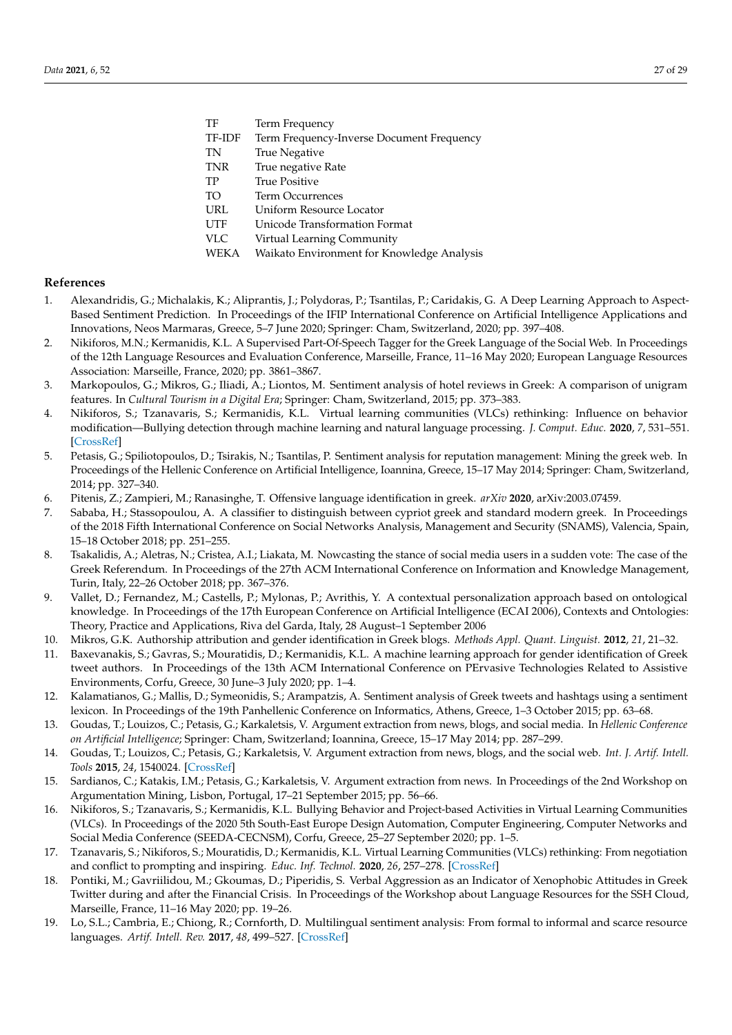<span id="page-26-34"></span><span id="page-26-27"></span><span id="page-26-17"></span>

| TF         | Term Frequency                             |
|------------|--------------------------------------------|
| TF-IDF     | Term Frequency-Inverse Document Frequency  |
| TN         | <b>True Negative</b>                       |
| <b>TNR</b> | True negative Rate                         |
| TP         | <b>True Positive</b>                       |
| TO         | Term Occurrences                           |
| URL        | Uniform Resource Locator                   |
| <b>UTF</b> | Unicode Transformation Format              |
| <b>VLC</b> | Virtual Learning Community                 |
| WEKA       | Waikato Environment for Knowledge Analysis |
|            |                                            |

#### <span id="page-26-33"></span><span id="page-26-32"></span><span id="page-26-30"></span><span id="page-26-19"></span>**References**

- <span id="page-26-0"></span>1. Alexandridis, G.; Michalakis, K.; Aliprantis, J.; Polydoras, P.; Tsantilas, P.; Caridakis, G. A Deep Learning Approach to Aspect-Based Sentiment Prediction. In Proceedings of the IFIP International Conference on Artificial Intelligence Applications and Innovations, Neos Marmaras, Greece, 5–7 June 2020; Springer: Cham, Switzerland, 2020; pp. 397–408.
- <span id="page-26-24"></span><span id="page-26-23"></span><span id="page-26-6"></span>2. Nikiforos, M.N.; Kermanidis, K.L. A Supervised Part-Of-Speech Tagger for the Greek Language of the Social Web. In Proceedings of the 12th Language Resources and Evaluation Conference, Marseille, France, 11–16 May 2020; European Language Resources Association: Marseille, France, 2020; pp. 3861–3867.
- <span id="page-26-18"></span><span id="page-26-2"></span>3. Markopoulos, G.; Mikros, G.; Iliadi, A.; Liontos, M. Sentiment analysis of hotel reviews in Greek: A comparison of unigram features. In *Cultural Tourism in a Digital Era*; Springer: Cham, Switzerland, 2015; pp. 373–383.
- <span id="page-26-20"></span><span id="page-26-9"></span>4. Nikiforos, S.; Tzanavaris, S.; Kermanidis, K.L. Virtual learning communities (VLCs) rethinking: Influence on behavior modification—Bullying detection through machine learning and natural language processing. *J. Comput. Educ.* **2020**, *7*, 531–551. [\[CrossRef\]](http://doi.org/10.1007/s40692-020-00166-5)
- <span id="page-26-22"></span><span id="page-26-21"></span><span id="page-26-3"></span>5. Petasis, G.; Spiliotopoulos, D.; Tsirakis, N.; Tsantilas, P. Sentiment analysis for reputation management: Mining the greek web. In Proceedings of the Hellenic Conference on Artificial Intelligence, Ioannina, Greece, 15–17 May 2014; Springer: Cham, Switzerland, 2014; pp. 327–340.
- <span id="page-26-28"></span><span id="page-26-10"></span>6. Pitenis, Z.; Zampieri, M.; Ranasinghe, T. Offensive language identification in greek. *arXiv* **2020**, arXiv:2003.07459.
- <span id="page-26-1"></span>7. Sababa, H.; Stassopoulou, A. A classifier to distinguish between cypriot greek and standard modern greek. In Proceedings of the 2018 Fifth International Conference on Social Networks Analysis, Management and Security (SNAMS), Valencia, Spain, 15–18 October 2018; pp. 251–255.
- <span id="page-26-31"></span><span id="page-26-29"></span><span id="page-26-4"></span>8. Tsakalidis, A.; Aletras, N.; Cristea, A.I.; Liakata, M. Nowcasting the stance of social media users in a sudden vote: The case of the Greek Referendum. In Proceedings of the 27th ACM International Conference on Information and Knowledge Management, Turin, Italy, 22–26 October 2018; pp. 367–376.
- <span id="page-26-5"></span>9. Vallet, D.; Fernandez, M.; Castells, P.; Mylonas, P.; Avrithis, Y. A contextual personalization approach based on ontological knowledge. In Proceedings of the 17th European Conference on Artificial Intelligence (ECAI 2006), Contexts and Ontologies: Theory, Practice and Applications, Riva del Garda, Italy, 28 August–1 September 2006
- <span id="page-26-7"></span>10. Mikros, G.K. Authorship attribution and gender identification in Greek blogs. *Methods Appl. Quant. Linguist.* **2012**, *21*, 21–32.
- <span id="page-26-13"></span>11. Baxevanakis, S.; Gavras, S.; Mouratidis, D.; Kermanidis, K.L. A machine learning approach for gender identification of Greek tweet authors. In Proceedings of the 13th ACM International Conference on PErvasive Technologies Related to Assistive Environments, Corfu, Greece, 30 June–3 July 2020; pp. 1–4.
- <span id="page-26-16"></span>12. Kalamatianos, G.; Mallis, D.; Symeonidis, S.; Arampatzis, A. Sentiment analysis of Greek tweets and hashtags using a sentiment lexicon. In Proceedings of the 19th Panhellenic Conference on Informatics, Athens, Greece, 1–3 October 2015; pp. 63–68.
- <span id="page-26-14"></span>13. Goudas, T.; Louizos, C.; Petasis, G.; Karkaletsis, V. Argument extraction from news, blogs, and social media. In *Hellenic Conference on Artificial Intelligence*; Springer: Cham, Switzerland; Ioannina, Greece, 15–17 May 2014; pp. 287–299.
- <span id="page-26-25"></span>14. Goudas, T.; Louizos, C.; Petasis, G.; Karkaletsis, V. Argument extraction from news, blogs, and the social web. *Int. J. Artif. Intell. Tools* **2015**, *24*, 1540024. [\[CrossRef\]](http://dx.doi.org/10.1142/S0218213015400242)
- <span id="page-26-8"></span>15. Sardianos, C.; Katakis, I.M.; Petasis, G.; Karkaletsis, V. Argument extraction from news. In Proceedings of the 2nd Workshop on Argumentation Mining, Lisbon, Portugal, 17–21 September 2015; pp. 56–66.
- <span id="page-26-11"></span>16. Nikiforos, S.; Tzanavaris, S.; Kermanidis, K.L. Bullying Behavior and Project-based Activities in Virtual Learning Communities (VLCs). In Proceedings of the 2020 5th South-East Europe Design Automation, Computer Engineering, Computer Networks and Social Media Conference (SEEDA-CECNSM), Corfu, Greece, 25–27 September 2020; pp. 1–5.
- <span id="page-26-26"></span>17. Tzanavaris, S.; Nikiforos, S.; Mouratidis, D.; Kermanidis, K.L. Virtual Learning Communities (VLCs) rethinking: From negotiation and conflict to prompting and inspiring. *Educ. Inf. Technol.* **2020**, *26*, 257–278. [\[CrossRef\]](http://dx.doi.org/10.1007/s10639-020-10270-9)
- <span id="page-26-12"></span>18. Pontiki, M.; Gavriilidou, M.; Gkoumas, D.; Piperidis, S. Verbal Aggression as an Indicator of Xenophobic Attitudes in Greek Twitter during and after the Financial Crisis. In Proceedings of the Workshop about Language Resources for the SSH Cloud, Marseille, France, 11–16 May 2020; pp. 19–26.
- <span id="page-26-15"></span>19. Lo, S.L.; Cambria, E.; Chiong, R.; Cornforth, D. Multilingual sentiment analysis: From formal to informal and scarce resource languages. *Artif. Intell. Rev.* **2017**, *48*, 499–527. [\[CrossRef\]](http://dx.doi.org/10.1007/s10462-016-9508-4)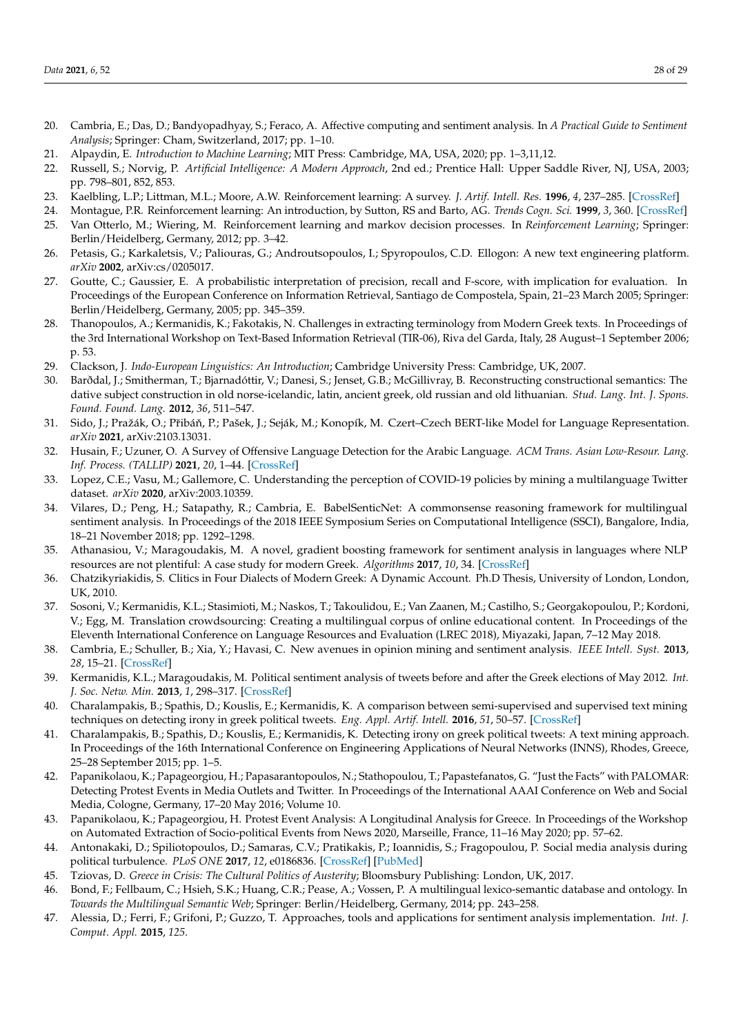- <span id="page-27-0"></span>20. Cambria, E.; Das, D.; Bandyopadhyay, S.; Feraco, A. Affective computing and sentiment analysis. In *A Practical Guide to Sentiment Analysis*; Springer: Cham, Switzerland, 2017; pp. 1–10.
- <span id="page-27-1"></span>21. Alpaydin, E. *Introduction to Machine Learning*; MIT Press: Cambridge, MA, USA, 2020; pp. 1–3,11,12.
- <span id="page-27-2"></span>22. Russell, S.; Norvig, P. *Artificial Intelligence: A Modern Approach*, 2nd ed.; Prentice Hall: Upper Saddle River, NJ, USA, 2003; pp. 798–801, 852, 853.
- <span id="page-27-3"></span>23. Kaelbling, L.P.; Littman, M.L.; Moore, A.W. Reinforcement learning: A survey. *J. Artif. Intell. Res.* **1996**, *4*, 237–285. [\[CrossRef\]](http://dx.doi.org/10.1613/jair.301)
- <span id="page-27-5"></span><span id="page-27-4"></span>24. Montague, P.R. Reinforcement learning: An introduction, by Sutton, RS and Barto, AG. *Trends Cogn. Sci.* **1999**, *3*, 360. [\[CrossRef\]](http://dx.doi.org/10.1016/S1364-6613(99)01331-5) 25. Van Otterlo, M.; Wiering, M. Reinforcement learning and markov decision processes. In *Reinforcement Learning*; Springer:
- Berlin/Heidelberg, Germany, 2012; pp. 3–42.
- <span id="page-27-6"></span>26. Petasis, G.; Karkaletsis, V.; Paliouras, G.; Androutsopoulos, I.; Spyropoulos, C.D. Ellogon: A new text engineering platform. *arXiv* **2002**, arXiv:cs/0205017.
- <span id="page-27-18"></span><span id="page-27-7"></span>27. Goutte, C.; Gaussier, E. A probabilistic interpretation of precision, recall and F-score, with implication for evaluation. In Proceedings of the European Conference on Information Retrieval, Santiago de Compostela, Spain, 21–23 March 2005; Springer: Berlin/Heidelberg, Germany, 2005; pp. 345–359.
- <span id="page-27-8"></span>28. Thanopoulos, A.; Kermanidis, K.; Fakotakis, N. Challenges in extracting terminology from Modern Greek texts. In Proceedings of the 3rd International Workshop on Text-Based Information Retrieval (TIR-06), Riva del Garda, Italy, 28 August–1 September 2006; p. 53.
- <span id="page-27-23"></span><span id="page-27-9"></span>29. Clackson, J. *Indo-European Linguistics: An Introduction*; Cambridge University Press: Cambridge, UK, 2007.
- <span id="page-27-25"></span><span id="page-27-10"></span>30. Barðdal, J.; Smitherman, T.; Bjarnadóttir, V.; Danesi, S.; Jenset, G.B.; McGillivray, B. Reconstructing constructional semantics: The dative subject construction in old norse-icelandic, latin, ancient greek, old russian and old lithuanian. *Stud. Lang. Int. J. Spons. Found. Found. Lang.* **2012**, *36*, 511–547.
- <span id="page-27-24"></span><span id="page-27-11"></span>31. Sido, J.; Pražák, O.; Přibáň, P.; Pašek, J.; Seják, M.; Konopík, M. Czert–Czech BERT-like Model for Language Representation. *arXiv* **2021**, arXiv:2103.13031.
- <span id="page-27-12"></span>32. Husain, F.; Uzuner, O. A Survey of Offensive Language Detection for the Arabic Language. *ACM Trans. Asian Low-Resour. Lang. Inf. Process. (TALLIP)* **2021**, *20*, 1–44. [\[CrossRef\]](http://dx.doi.org/10.1145/3421504)
- <span id="page-27-27"></span><span id="page-27-13"></span>33. Lopez, C.E.; Vasu, M.; Gallemore, C. Understanding the perception of COVID-19 policies by mining a multilanguage Twitter dataset. *arXiv* **2020**, arXiv:2003.10359.
- <span id="page-27-28"></span><span id="page-27-14"></span>34. Vilares, D.; Peng, H.; Satapathy, R.; Cambria, E. BabelSenticNet: A commonsense reasoning framework for multilingual sentiment analysis. In Proceedings of the 2018 IEEE Symposium Series on Computational Intelligence (SSCI), Bangalore, India, 18–21 November 2018; pp. 1292–1298.
- <span id="page-27-26"></span><span id="page-27-15"></span>35. Athanasiou, V.; Maragoudakis, M. A novel, gradient boosting framework for sentiment analysis in languages where NLP resources are not plentiful: A case study for modern Greek. *Algorithms* **2017**, *10*, 34. [\[CrossRef\]](http://dx.doi.org/10.3390/a10010034)
- <span id="page-27-16"></span>36. Chatzikyriakidis, S. Clitics in Four Dialects of Modern Greek: A Dynamic Account. Ph.D Thesis, University of London, London, UK, 2010.
- <span id="page-27-17"></span>37. Sosoni, V.; Kermanidis, K.L.; Stasimioti, M.; Naskos, T.; Takoulidou, E.; Van Zaanen, M.; Castilho, S.; Georgakopoulou, P.; Kordoni, V.; Egg, M. Translation crowdsourcing: Creating a multilingual corpus of online educational content. In Proceedings of the Eleventh International Conference on Language Resources and Evaluation (LREC 2018), Miyazaki, Japan, 7–12 May 2018.
- <span id="page-27-19"></span>38. Cambria, E.; Schuller, B.; Xia, Y.; Havasi, C. New avenues in opinion mining and sentiment analysis. *IEEE Intell. Syst.* **2013**, *28*, 15–21. [\[CrossRef\]](http://dx.doi.org/10.1109/MIS.2013.30)
- <span id="page-27-20"></span>39. Kermanidis, K.L.; Maragoudakis, M. Political sentiment analysis of tweets before and after the Greek elections of May 2012. *Int. J. Soc. Netw. Min.* **2013**, *1*, 298–317. [\[CrossRef\]](http://dx.doi.org/10.1504/IJSNM.2013.059090)
- <span id="page-27-29"></span>40. Charalampakis, B.; Spathis, D.; Kouslis, E.; Kermanidis, K. A comparison between semi-supervised and supervised text mining techniques on detecting irony in greek political tweets. *Eng. Appl. Artif. Intell.* **2016**, *51*, 50–57. [\[CrossRef\]](http://dx.doi.org/10.1016/j.engappai.2016.01.007)
- <span id="page-27-30"></span>41. Charalampakis, B.; Spathis, D.; Kouslis, E.; Kermanidis, K. Detecting irony on greek political tweets: A text mining approach. In Proceedings of the 16th International Conference on Engineering Applications of Neural Networks (INNS), Rhodes, Greece, 25–28 September 2015; pp. 1–5.
- <span id="page-27-32"></span>42. Papanikolaou, K.; Papageorgiou, H.; Papasarantopoulos, N.; Stathopoulou, T.; Papastefanatos, G. "Just the Facts" with PALOMAR: Detecting Protest Events in Media Outlets and Twitter. In Proceedings of the International AAAI Conference on Web and Social Media, Cologne, Germany, 17–20 May 2016; Volume 10.
- <span id="page-27-33"></span>43. Papanikolaou, K.; Papageorgiou, H. Protest Event Analysis: A Longitudinal Analysis for Greece. In Proceedings of the Workshop on Automated Extraction of Socio-political Events from News 2020, Marseille, France, 11–16 May 2020; pp. 57–62.
- <span id="page-27-21"></span>44. Antonakaki, D.; Spiliotopoulos, D.; Samaras, C.V.; Pratikakis, P.; Ioannidis, S.; Fragopoulou, P. Social media analysis during political turbulence. *PLoS ONE* **2017**, *12*, e0186836. [\[CrossRef\]](http://dx.doi.org/10.1371/journal.pone.0186836) [\[PubMed\]](http://www.ncbi.nlm.nih.gov/pubmed/29088263)
- <span id="page-27-22"></span>45. Tziovas, D. *Greece in Crisis: The Cultural Politics of Austerity*; Bloomsbury Publishing: London, UK, 2017.
- <span id="page-27-31"></span>46. Bond, F.; Fellbaum, C.; Hsieh, S.K.; Huang, C.R.; Pease, A.; Vossen, P. A multilingual lexico-semantic database and ontology. In *Towards the Multilingual Semantic Web*; Springer: Berlin/Heidelberg, Germany, 2014; pp. 243–258.
- <span id="page-27-34"></span>47. Alessia, D.; Ferri, F.; Grifoni, P.; Guzzo, T. Approaches, tools and applications for sentiment analysis implementation. *Int. J. Comput. Appl.* **2015**, *125*.